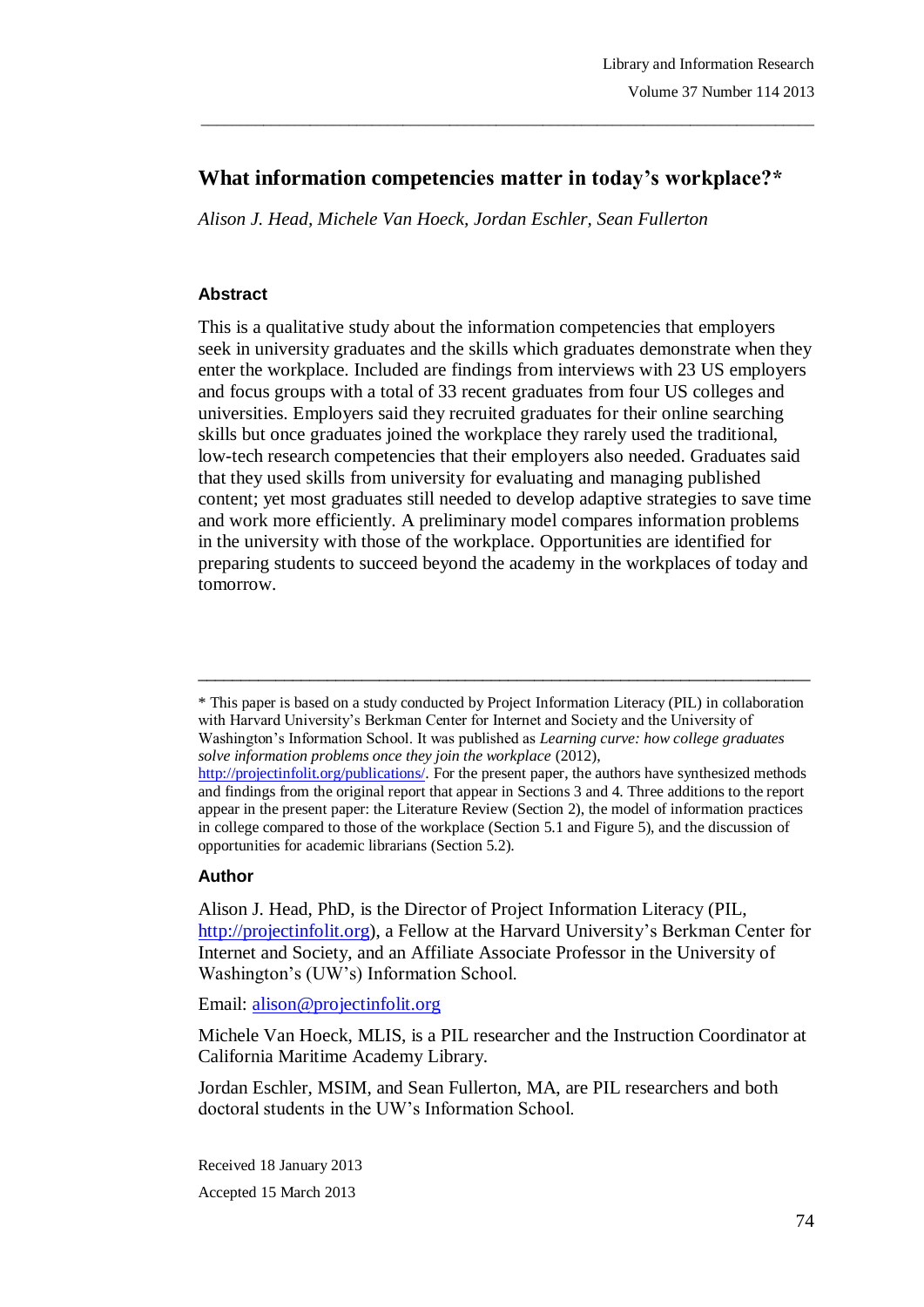# **What information competencies matter in today's workplace?\***

\_\_\_\_\_\_\_\_\_\_\_\_\_\_\_\_\_\_\_\_\_\_\_\_\_\_\_\_\_\_\_\_\_\_\_\_\_\_\_\_\_\_\_\_\_\_\_\_\_\_\_\_\_\_\_\_\_\_\_\_\_\_\_\_\_\_\_\_\_\_\_\_\_\_\_\_\_\_\_

*Alison J. Head, Michele Van Hoeck, Jordan Eschler, Sean Fullerton*

#### **Abstract**

This is a qualitative study about the information competencies that employers seek in university graduates and the skills which graduates demonstrate when they enter the workplace. Included are findings from interviews with 23 US employers and focus groups with a total of 33 recent graduates from four US colleges and universities. Employers said they recruited graduates for their online searching skills but once graduates joined the workplace they rarely used the traditional, low-tech research competencies that their employers also needed. Graduates said that they used skills from university for evaluating and managing published content; yet most graduates still needed to develop adaptive strategies to save time and work more efficiently. A preliminary model compares information problems in the university with those of the workplace. Opportunities are identified for preparing students to succeed beyond the academy in the workplaces of today and tomorrow.

\* This paper is based on a study conducted by Project Information Literacy (PIL) in collaboration with Harvard University's Berkman Center for Internet and Society and the University of Washington"s Information School. It was published as *Learning curve: how college graduates solve information problems once they join the workplace* (2012), http://projectinfolit.org/publications/. For the present paper, the authors have synthesized methods

\_\_\_\_\_\_\_\_\_\_\_\_\_\_\_\_\_\_\_\_\_\_\_\_\_\_\_\_\_\_\_\_\_\_\_\_\_\_\_\_\_\_\_\_\_\_\_\_\_\_\_\_\_\_\_\_\_\_\_\_\_\_\_\_\_\_\_\_\_\_\_

#### **Author**

Alison J. Head, PhD, is the Director of Project Information Literacy (PIL, http://projectinfolit.org), a Fellow at the Harvard University's Berkman Center for Internet and Society, and an Affiliate Associate Professor in the University of Washington"s (UW"s) Information School.

#### Email: alison@projectinfolit.org

Michele Van Hoeck, MLIS, is a PIL researcher and the Instruction Coordinator at California Maritime Academy Library.

Jordan Eschler, MSIM, and Sean Fullerton, MA, are PIL researchers and both doctoral students in the UW"s Information School.

Received 18 January 2013 Accepted 15 March 2013

and findings from the original report that appear in Sections 3 and 4. Three additions to the report appear in the present paper: the Literature Review (Section 2), the model of information practices in college compared to those of the workplace (Section 5.1 and Figure 5), and the discussion of opportunities for academic librarians (Section 5.2).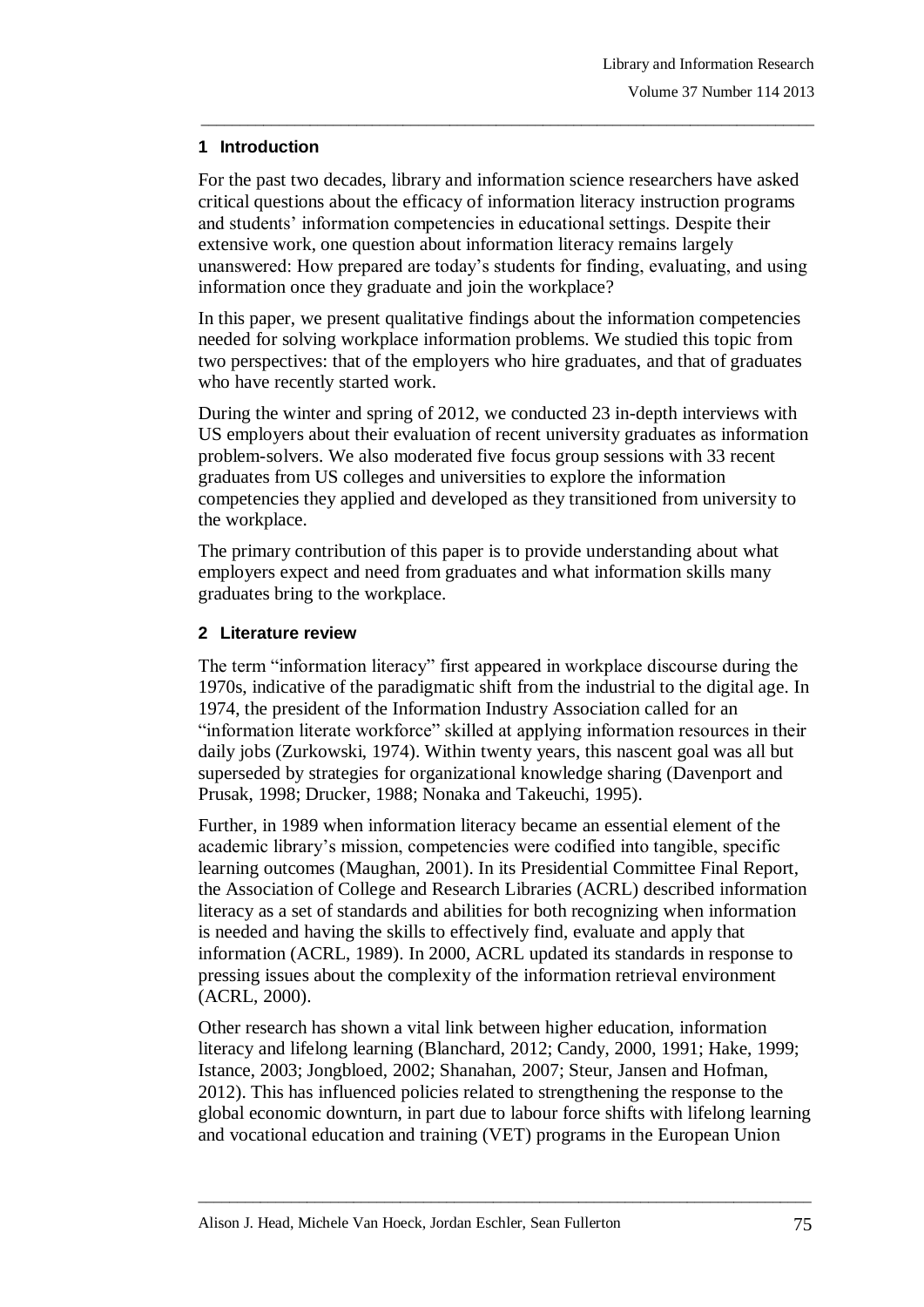## **1 Introduction**

For the past two decades, library and information science researchers have asked critical questions about the efficacy of information literacy instruction programs and students" information competencies in educational settings. Despite their extensive work, one question about information literacy remains largely unanswered: How prepared are today"s students for finding, evaluating, and using information once they graduate and join the workplace?

\_\_\_\_\_\_\_\_\_\_\_\_\_\_\_\_\_\_\_\_\_\_\_\_\_\_\_\_\_\_\_\_\_\_\_\_\_\_\_\_\_\_\_\_\_\_\_\_\_\_\_\_\_\_\_\_\_\_\_\_\_\_\_\_\_\_\_\_\_\_\_\_\_\_\_\_\_\_\_

In this paper, we present qualitative findings about the information competencies needed for solving workplace information problems. We studied this topic from two perspectives: that of the employers who hire graduates, and that of graduates who have recently started work.

During the winter and spring of 2012, we conducted 23 in-depth interviews with US employers about their evaluation of recent university graduates as information problem-solvers. We also moderated five focus group sessions with 33 recent graduates from US colleges and universities to explore the information competencies they applied and developed as they transitioned from university to the workplace.

The primary contribution of this paper is to provide understanding about what employers expect and need from graduates and what information skills many graduates bring to the workplace.

## **2 Literature review**

The term "information literacy" first appeared in workplace discourse during the 1970s, indicative of the paradigmatic shift from the industrial to the digital age. In 1974, the president of the Information Industry Association called for an "information literate workforce" skilled at applying information resources in their daily jobs (Zurkowski, 1974). Within twenty years, this nascent goal was all but superseded by strategies for organizational knowledge sharing (Davenport and Prusak, 1998; Drucker, 1988; Nonaka and Takeuchi, 1995).

Further, in 1989 when information literacy became an essential element of the academic library"s mission, competencies were codified into tangible, specific learning outcomes (Maughan, 2001). In its Presidential Committee Final Report, the Association of College and Research Libraries (ACRL) described information literacy as a set of standards and abilities for both recognizing when information is needed and having the skills to effectively find, evaluate and apply that information (ACRL, 1989). In 2000, ACRL updated its standards in response to pressing issues about the complexity of the information retrieval environment (ACRL, 2000).

Other research has shown a vital link between higher education, information literacy and lifelong learning (Blanchard, 2012; Candy, 2000, 1991; Hake, 1999; Istance, 2003; Jongbloed, 2002; Shanahan, 2007; Steur, Jansen and Hofman, 2012). This has influenced policies related to strengthening the response to the global economic downturn, in part due to labour force shifts with lifelong learning and vocational education and training (VET) programs in the European Union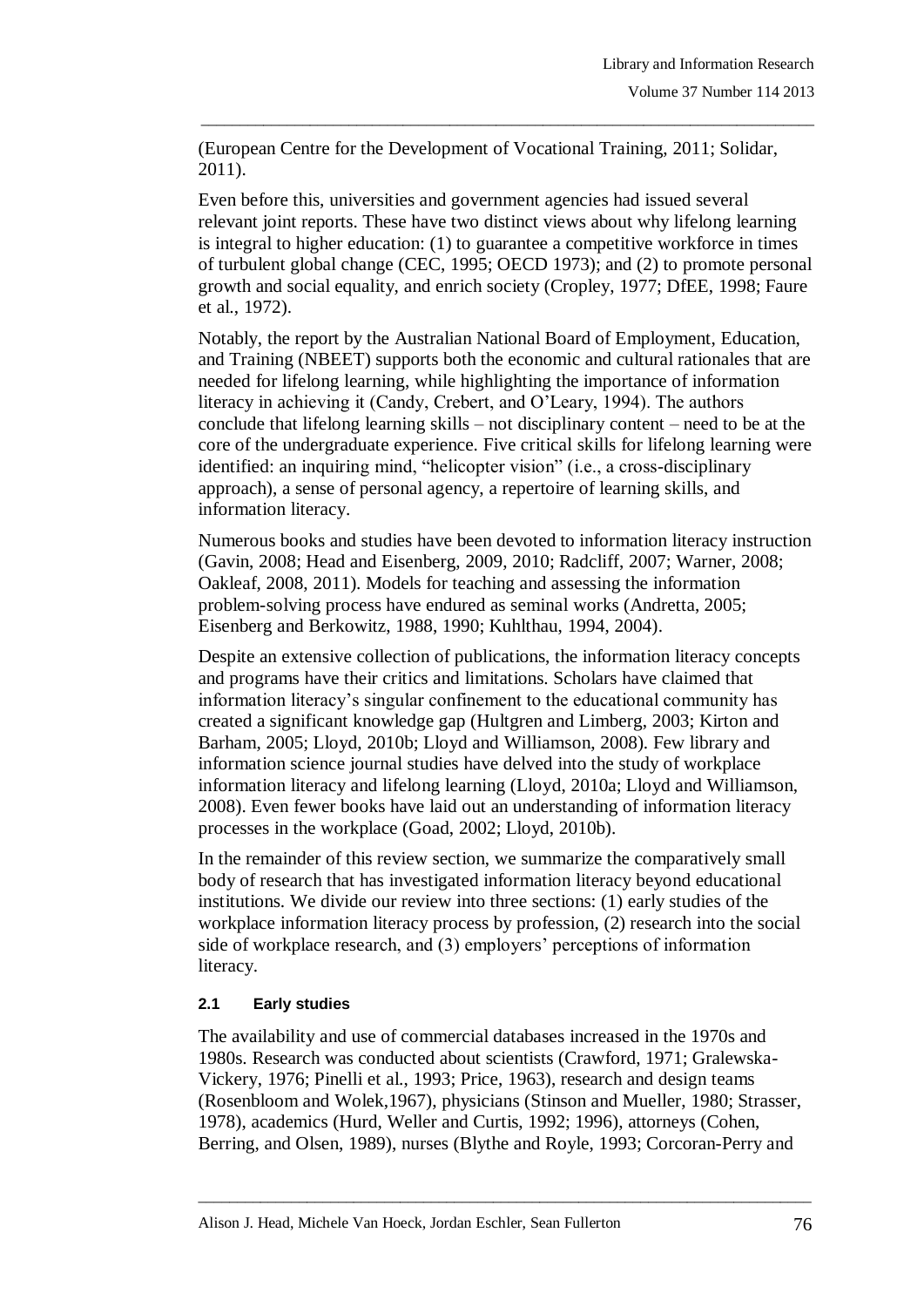(European Centre for the Development of Vocational Training, 2011; Solidar, 2011).

\_\_\_\_\_\_\_\_\_\_\_\_\_\_\_\_\_\_\_\_\_\_\_\_\_\_\_\_\_\_\_\_\_\_\_\_\_\_\_\_\_\_\_\_\_\_\_\_\_\_\_\_\_\_\_\_\_\_\_\_\_\_\_\_\_\_\_\_\_\_\_\_\_\_\_\_\_\_\_

Even before this, universities and government agencies had issued several relevant joint reports. These have two distinct views about why lifelong learning is integral to higher education: (1) to guarantee a competitive workforce in times of turbulent global change (CEC, 1995; OECD 1973); and (2) to promote personal growth and social equality, and enrich society (Cropley, 1977; DfEE, 1998; Faure et al., 1972).

Notably, the report by the Australian National Board of Employment, Education, and Training (NBEET) supports both the economic and cultural rationales that are needed for lifelong learning, while highlighting the importance of information literacy in achieving it (Candy, Crebert, and O"Leary, 1994). The authors conclude that lifelong learning skills – not disciplinary content – need to be at the core of the undergraduate experience. Five critical skills for lifelong learning were identified: an inquiring mind, "helicopter vision" (i.e., a cross-disciplinary approach), a sense of personal agency, a repertoire of learning skills, and information literacy.

Numerous books and studies have been devoted to information literacy instruction (Gavin, 2008; Head and Eisenberg, 2009, 2010; Radcliff, 2007; Warner, 2008; Oakleaf, 2008, 2011). Models for teaching and assessing the information problem-solving process have endured as seminal works (Andretta, 2005; Eisenberg and Berkowitz, 1988, 1990; Kuhlthau, 1994, 2004).

Despite an extensive collection of publications, the information literacy concepts and programs have their critics and limitations. Scholars have claimed that information literacy"s singular confinement to the educational community has created a significant knowledge gap (Hultgren and Limberg, 2003; Kirton and Barham, 2005; Lloyd, 2010b; Lloyd and Williamson, 2008). Few library and information science journal studies have delved into the study of workplace information literacy and lifelong learning (Lloyd, 2010a; Lloyd and Williamson, 2008). Even fewer books have laid out an understanding of information literacy processes in the workplace (Goad, 2002; Lloyd, 2010b).

In the remainder of this review section, we summarize the comparatively small body of research that has investigated information literacy beyond educational institutions. We divide our review into three sections: (1) early studies of the workplace information literacy process by profession, (2) research into the social side of workplace research, and (3) employers' perceptions of information literacy.

## **2.1 Early studies**

The availability and use of commercial databases increased in the 1970s and 1980s. Research was conducted about scientists (Crawford, 1971; Gralewska-Vickery, 1976; Pinelli et al., 1993; Price, 1963), research and design teams (Rosenbloom and Wolek,1967), physicians (Stinson and Mueller, 1980; Strasser, 1978), academics (Hurd, Weller and Curtis, 1992; 1996), attorneys (Cohen, Berring, and Olsen, 1989), nurses (Blythe and Royle, 1993; Corcoran-Perry and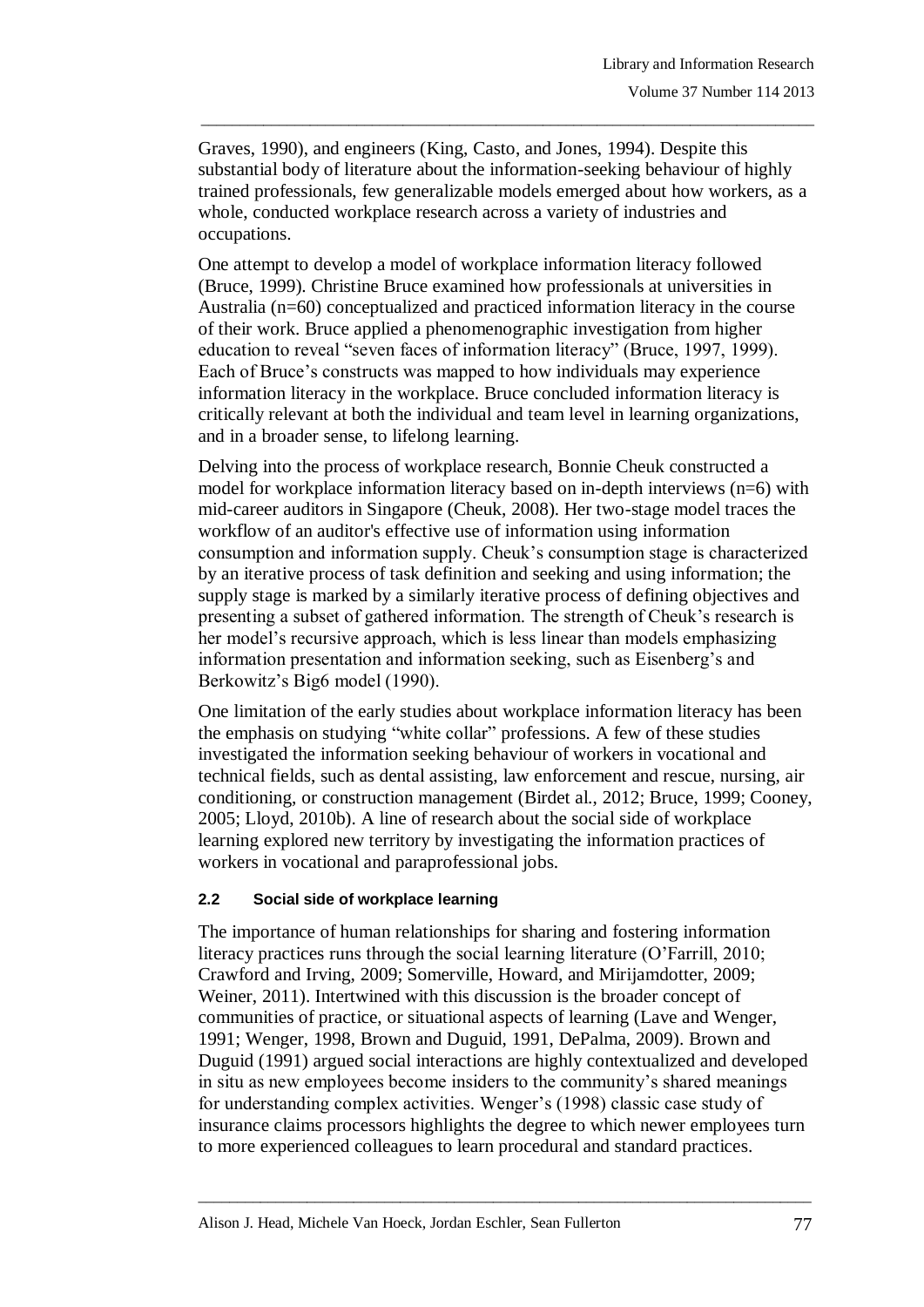Graves, 1990), and engineers (King, Casto, and Jones, 1994). Despite this substantial body of literature about the information-seeking behaviour of highly trained professionals, few generalizable models emerged about how workers, as a whole, conducted workplace research across a variety of industries and occupations.

\_\_\_\_\_\_\_\_\_\_\_\_\_\_\_\_\_\_\_\_\_\_\_\_\_\_\_\_\_\_\_\_\_\_\_\_\_\_\_\_\_\_\_\_\_\_\_\_\_\_\_\_\_\_\_\_\_\_\_\_\_\_\_\_\_\_\_\_\_\_\_\_\_\_\_\_\_\_\_

One attempt to develop a model of workplace information literacy followed (Bruce, 1999). Christine Bruce examined how professionals at universities in Australia (n=60) conceptualized and practiced information literacy in the course of their work. Bruce applied a phenomenographic investigation from higher education to reveal "seven faces of information literacy" (Bruce, 1997, 1999). Each of Bruce's constructs was mapped to how individuals may experience information literacy in the workplace. Bruce concluded information literacy is critically relevant at both the individual and team level in learning organizations, and in a broader sense, to lifelong learning.

Delving into the process of workplace research, Bonnie Cheuk constructed a model for workplace information literacy based on in-depth interviews (n=6) with mid-career auditors in Singapore (Cheuk, 2008). Her two-stage model traces the workflow of an auditor's effective use of information using information consumption and information supply. Cheuk"s consumption stage is characterized by an iterative process of task definition and seeking and using information; the supply stage is marked by a similarly iterative process of defining objectives and presenting a subset of gathered information. The strength of Cheuk"s research is her model's recursive approach, which is less linear than models emphasizing information presentation and information seeking, such as Eisenberg"s and Berkowitz's Big6 model (1990).

One limitation of the early studies about workplace information literacy has been the emphasis on studying "white collar" professions. A few of these studies investigated the information seeking behaviour of workers in vocational and technical fields, such as dental assisting, law enforcement and rescue, nursing, air conditioning, or construction management (Birdet al., 2012; Bruce, 1999; Cooney, 2005; Lloyd, 2010b). A line of research about the social side of workplace learning explored new territory by investigating the information practices of workers in vocational and paraprofessional jobs.

## **2.2 Social side of workplace learning**

The importance of human relationships for sharing and fostering information literacy practices runs through the social learning literature (O"Farrill, 2010; Crawford and Irving, 2009; Somerville, Howard, and Mirijamdotter, 2009; Weiner, 2011). Intertwined with this discussion is the broader concept of communities of practice, or situational aspects of learning (Lave and Wenger, 1991; Wenger, 1998, Brown and Duguid, 1991, DePalma, 2009). Brown and Duguid (1991) argued social interactions are highly contextualized and developed in situ as new employees become insiders to the community"s shared meanings for understanding complex activities. Wenger"s (1998) classic case study of insurance claims processors highlights the degree to which newer employees turn to more experienced colleagues to learn procedural and standard practices.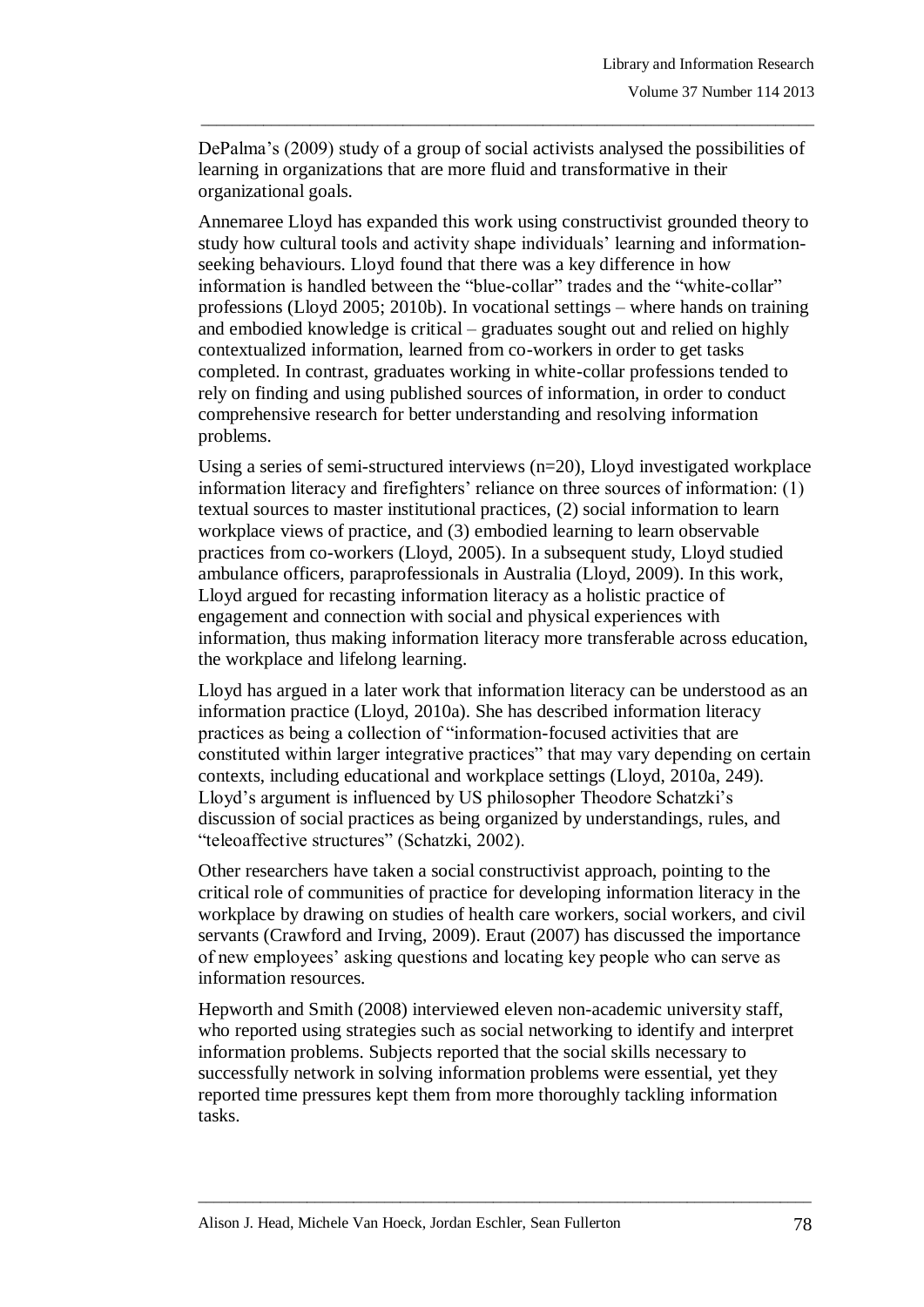DePalma"s (2009) study of a group of social activists analysed the possibilities of learning in organizations that are more fluid and transformative in their organizational goals.

\_\_\_\_\_\_\_\_\_\_\_\_\_\_\_\_\_\_\_\_\_\_\_\_\_\_\_\_\_\_\_\_\_\_\_\_\_\_\_\_\_\_\_\_\_\_\_\_\_\_\_\_\_\_\_\_\_\_\_\_\_\_\_\_\_\_\_\_\_\_\_\_\_\_\_\_\_\_\_

Annemaree Lloyd has expanded this work using constructivist grounded theory to study how cultural tools and activity shape individuals" learning and informationseeking behaviours. Lloyd found that there was a key difference in how information is handled between the "blue-collar" trades and the "white-collar" professions (Lloyd 2005; 2010b). In vocational settings – where hands on training and embodied knowledge is critical – graduates sought out and relied on highly contextualized information, learned from co-workers in order to get tasks completed. In contrast, graduates working in white-collar professions tended to rely on finding and using published sources of information, in order to conduct comprehensive research for better understanding and resolving information problems.

Using a series of semi-structured interviews (n=20), Lloyd investigated workplace information literacy and firefighters' reliance on three sources of information: (1) textual sources to master institutional practices, (2) social information to learn workplace views of practice, and (3) embodied learning to learn observable practices from co-workers (Lloyd, 2005). In a subsequent study, Lloyd studied ambulance officers, paraprofessionals in Australia (Lloyd, 2009). In this work, Lloyd argued for recasting information literacy as a holistic practice of engagement and connection with social and physical experiences with information, thus making information literacy more transferable across education, the workplace and lifelong learning.

Lloyd has argued in a later work that information literacy can be understood as an information practice (Lloyd, 2010a). She has described information literacy practices as being a collection of "information-focused activities that are constituted within larger integrative practices" that may vary depending on certain contexts, including educational and workplace settings (Lloyd, 2010a, 249). Lloyd"s argument is influenced by US philosopher Theodore Schatzki"s discussion of social practices as being organized by understandings, rules, and "teleoaffective structures" (Schatzki, 2002).

Other researchers have taken a social constructivist approach, pointing to the critical role of communities of practice for developing information literacy in the workplace by drawing on studies of health care workers, social workers, and civil servants (Crawford and Irving, 2009). Eraut (2007) has discussed the importance of new employees" asking questions and locating key people who can serve as information resources.

Hepworth and Smith (2008) interviewed eleven non-academic university staff, who reported using strategies such as social networking to identify and interpret information problems. Subjects reported that the social skills necessary to successfully network in solving information problems were essential, yet they reported time pressures kept them from more thoroughly tackling information tasks.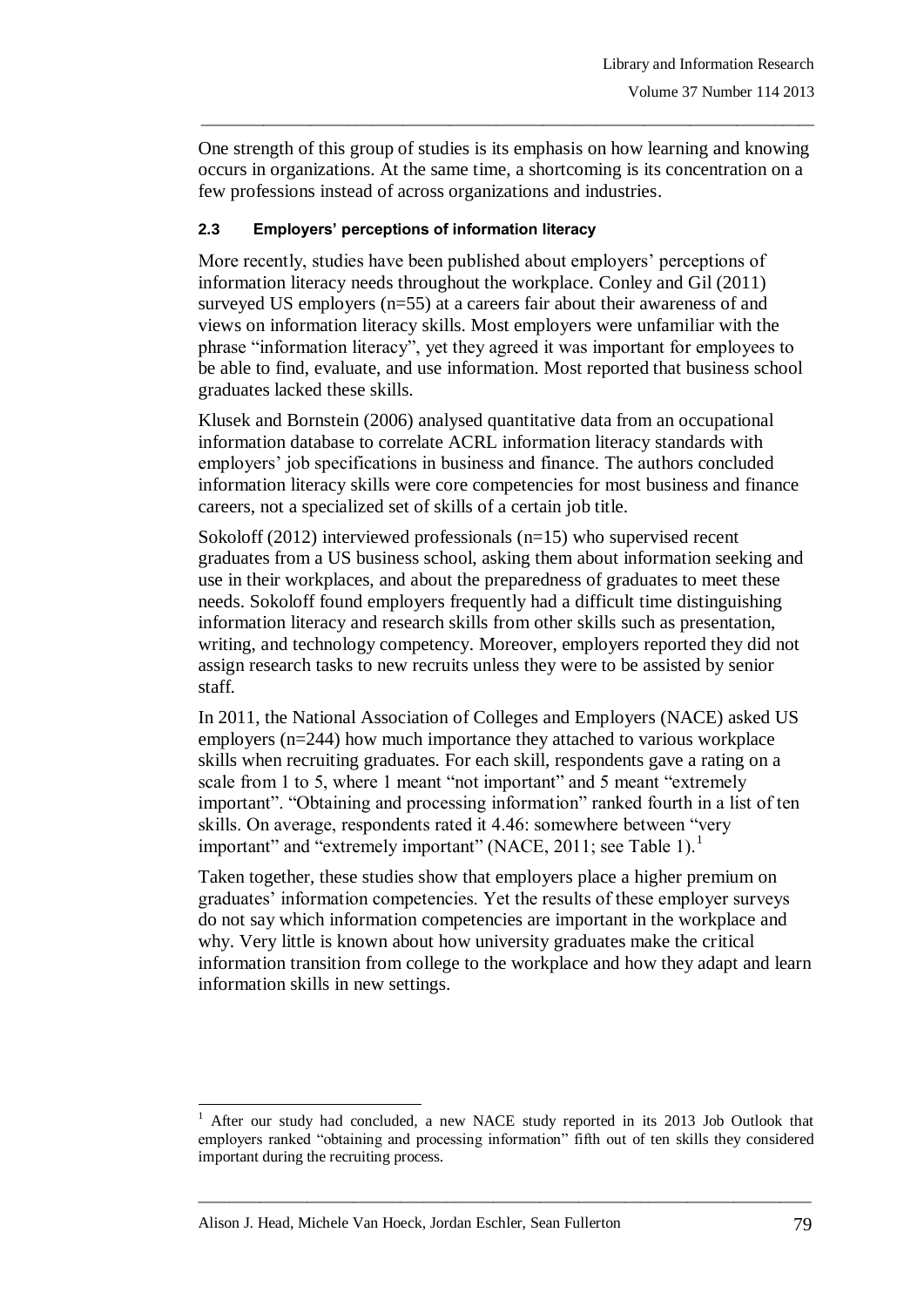One strength of this group of studies is its emphasis on how learning and knowing occurs in organizations. At the same time, a shortcoming is its concentration on a few professions instead of across organizations and industries.

\_\_\_\_\_\_\_\_\_\_\_\_\_\_\_\_\_\_\_\_\_\_\_\_\_\_\_\_\_\_\_\_\_\_\_\_\_\_\_\_\_\_\_\_\_\_\_\_\_\_\_\_\_\_\_\_\_\_\_\_\_\_\_\_\_\_\_\_\_\_\_\_\_\_\_\_\_\_\_

#### **2.3 Employers' perceptions of information literacy**

More recently, studies have been published about employers' perceptions of information literacy needs throughout the workplace. Conley and Gil (2011) surveyed US employers (n=55) at a careers fair about their awareness of and views on information literacy skills. Most employers were unfamiliar with the phrase "information literacy", yet they agreed it was important for employees to be able to find, evaluate, and use information. Most reported that business school graduates lacked these skills.

Klusek and Bornstein (2006) analysed quantitative data from an occupational information database to correlate ACRL information literacy standards with employers' job specifications in business and finance. The authors concluded information literacy skills were core competencies for most business and finance careers, not a specialized set of skills of a certain job title.

Sokoloff (2012) interviewed professionals (n=15) who supervised recent graduates from a US business school, asking them about information seeking and use in their workplaces, and about the preparedness of graduates to meet these needs. Sokoloff found employers frequently had a difficult time distinguishing information literacy and research skills from other skills such as presentation, writing, and technology competency. Moreover, employers reported they did not assign research tasks to new recruits unless they were to be assisted by senior staff.

In 2011, the National Association of Colleges and Employers (NACE) asked US employers (n=244) how much importance they attached to various workplace skills when recruiting graduates. For each skill, respondents gave a rating on a scale from 1 to 5, where 1 meant "not important" and 5 meant "extremely important". "Obtaining and processing information" ranked fourth in a list of ten skills. On average, respondents rated it 4.46: somewhere between "very important" and "extremely important" (NACE, 2011; see Table 1).<sup>1</sup>

Taken together, these studies show that employers place a higher premium on graduates" information competencies. Yet the results of these employer surveys do not say which information competencies are important in the workplace and why. Very little is known about how university graduates make the critical information transition from college to the workplace and how they adapt and learn information skills in new settings.

\_\_\_\_\_\_\_\_\_\_\_\_\_\_\_\_\_\_\_\_\_\_\_\_\_\_\_\_\_\_\_\_\_\_\_\_\_\_\_\_\_\_\_\_\_\_\_\_\_\_\_\_\_\_\_\_\_\_\_\_\_\_\_\_\_\_\_\_\_\_\_\_\_\_\_\_\_\_\_

l

<sup>1</sup> After our study had concluded, a new NACE study reported in its 2013 Job Outlook that employers ranked "obtaining and processing information" fifth out of ten skills they considered important during the recruiting process.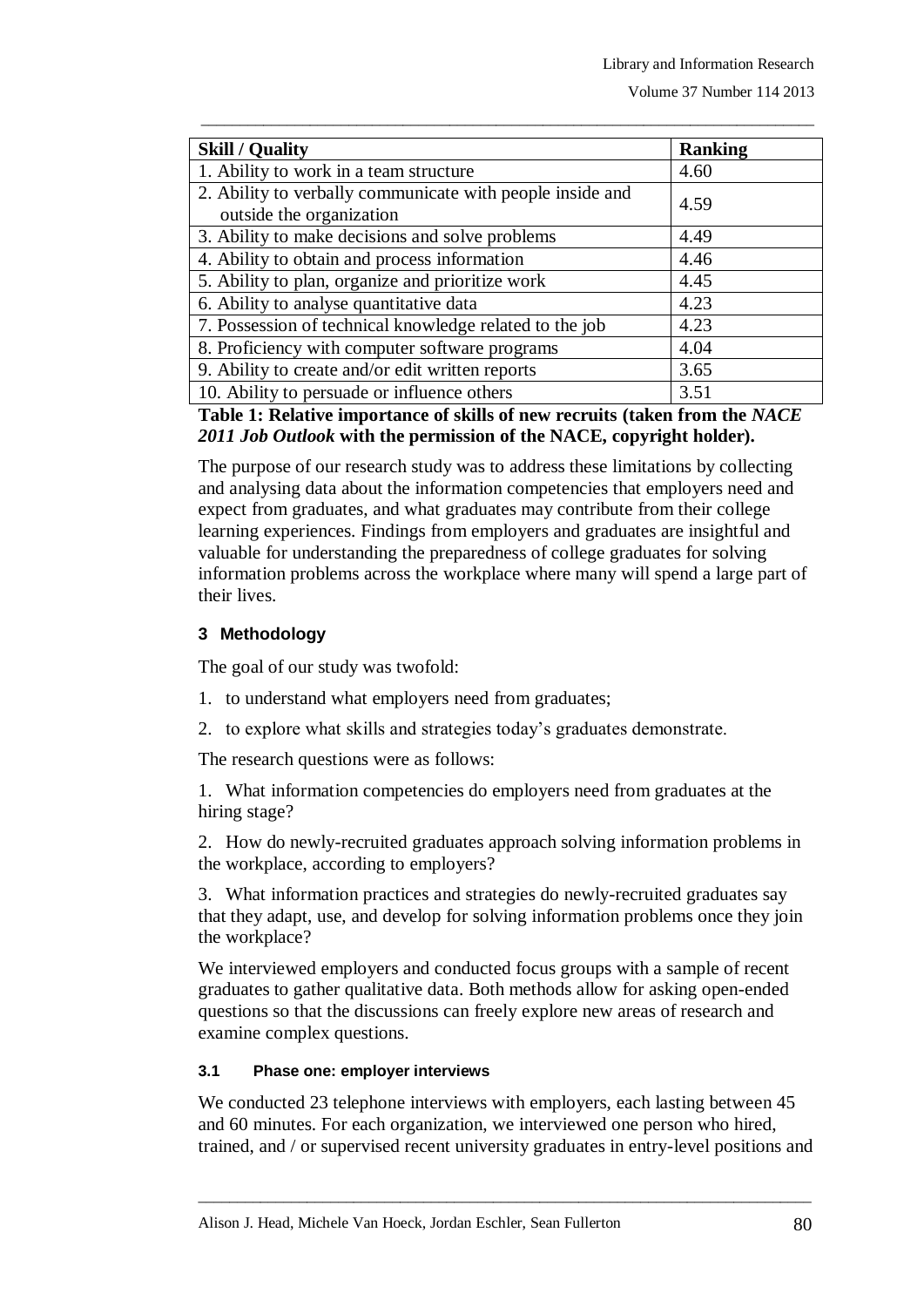| <b>Skill / Quality</b>                                                                | <b>Ranking</b> |
|---------------------------------------------------------------------------------------|----------------|
| 1. Ability to work in a team structure                                                | 4.60           |
| 2. Ability to verbally communicate with people inside and<br>outside the organization | 4.59           |
| 3. Ability to make decisions and solve problems                                       | 4.49           |
| 4. Ability to obtain and process information                                          | 4.46           |
| 5. Ability to plan, organize and prioritize work                                      | 4.45           |
| 6. Ability to analyse quantitative data                                               | 4.23           |
| 7. Possession of technical knowledge related to the job                               | 4.23           |
| 8. Proficiency with computer software programs                                        | 4.04           |
| 9. Ability to create and/or edit written reports                                      | 3.65           |
| 10. Ability to persuade or influence others                                           | 3.51           |

\_\_\_\_\_\_\_\_\_\_\_\_\_\_\_\_\_\_\_\_\_\_\_\_\_\_\_\_\_\_\_\_\_\_\_\_\_\_\_\_\_\_\_\_\_\_\_\_\_\_\_\_\_\_\_\_\_\_\_\_\_\_\_\_\_\_\_\_\_\_\_\_\_\_\_\_\_\_\_

# **Table 1: Relative importance of skills of new recruits (taken from the** *NACE 2011 Job Outlook* **with the permission of the NACE, copyright holder).**

The purpose of our research study was to address these limitations by collecting and analysing data about the information competencies that employers need and expect from graduates, and what graduates may contribute from their college learning experiences. Findings from employers and graduates are insightful and valuable for understanding the preparedness of college graduates for solving information problems across the workplace where many will spend a large part of their lives.

# **3 Methodology**

The goal of our study was twofold:

- 1. to understand what employers need from graduates;
- 2. to explore what skills and strategies today"s graduates demonstrate.

The research questions were as follows:

1. What information competencies do employers need from graduates at the hiring stage?

2. How do newly-recruited graduates approach solving information problems in the workplace, according to employers?

3. What information practices and strategies do newly-recruited graduates say that they adapt, use, and develop for solving information problems once they join the workplace?

We interviewed employers and conducted focus groups with a sample of recent graduates to gather qualitative data. Both methods allow for asking open-ended questions so that the discussions can freely explore new areas of research and examine complex questions.

## **3.1 Phase one: employer interviews**

We conducted 23 telephone interviews with employers, each lasting between 45 and 60 minutes. For each organization, we interviewed one person who hired, trained, and / or supervised recent university graduates in entry-level positions and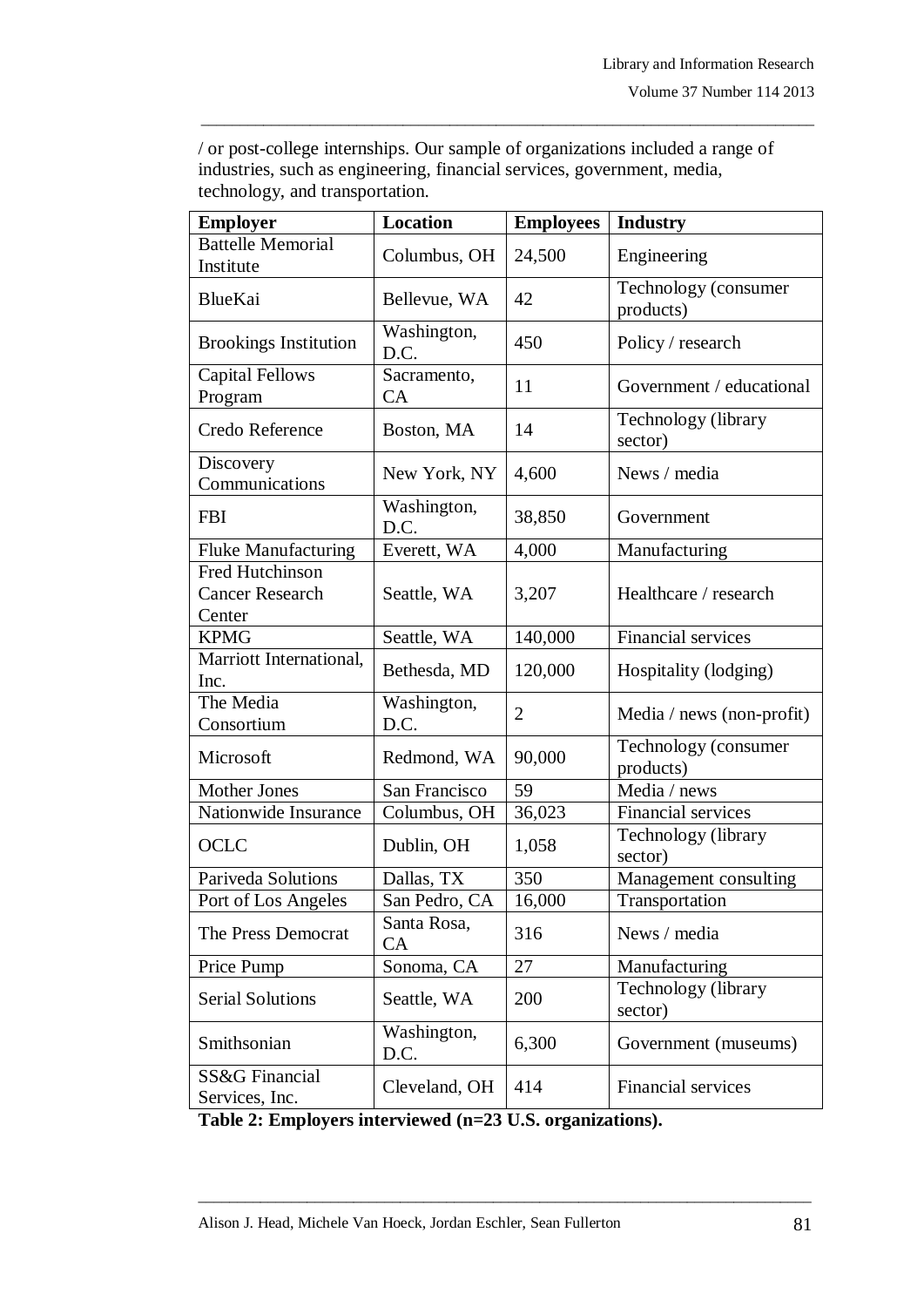| or post-college internships. Our sample of organizations included a range of |
|------------------------------------------------------------------------------|
| industries, such as engineering, financial services, government, media,      |
| technology, and transportation.                                              |

\_\_\_\_\_\_\_\_\_\_\_\_\_\_\_\_\_\_\_\_\_\_\_\_\_\_\_\_\_\_\_\_\_\_\_\_\_\_\_\_\_\_\_\_\_\_\_\_\_\_\_\_\_\_\_\_\_\_\_\_\_\_\_\_\_\_\_\_\_\_\_\_\_\_\_\_\_\_\_

| <b>Employer</b>                                     | <b>Location</b>     | <b>Employees</b> | <b>Industry</b>                   |
|-----------------------------------------------------|---------------------|------------------|-----------------------------------|
| <b>Battelle Memorial</b><br>Institute               | Columbus, OH        | 24,500           | Engineering                       |
| <b>BlueKai</b>                                      | Bellevue, WA        | 42               | Technology (consumer<br>products) |
| <b>Brookings Institution</b>                        | Washington,<br>D.C. | 450              | Policy / research                 |
| <b>Capital Fellows</b><br>Program                   | Sacramento,<br>CA   | 11               | Government / educational          |
| Credo Reference                                     | Boston, MA          | 14               | Technology (library<br>sector)    |
| Discovery<br>Communications                         | New York, NY        | 4,600            | News / media                      |
| <b>FBI</b>                                          | Washington,<br>D.C. | 38,850           | Government                        |
| <b>Fluke Manufacturing</b>                          | Everett, WA         | 4,000            | Manufacturing                     |
| Fred Hutchinson<br><b>Cancer Research</b><br>Center | Seattle, WA         | 3,207            | Healthcare / research             |
| <b>KPMG</b>                                         | Seattle, WA         | 140,000          | Financial services                |
| Marriott International,<br>Inc.                     | Bethesda, MD        | 120,000          | Hospitality (lodging)             |
| The Media<br>Consortium                             | Washington,<br>D.C. | $\overline{2}$   | Media / news (non-profit)         |
| Microsoft                                           | Redmond, WA         | 90,000           | Technology (consumer<br>products) |
| Mother Jones                                        | San Francisco       | 59               | Media / news                      |
| Nationwide Insurance                                | Columbus, OH        | 36,023           | Financial services                |
| OCLC                                                | Dublin, OH          | 1,058            | Technology (library<br>sector)    |
| Pariveda Solutions                                  | Dallas, TX          | 350              | Management consulting             |
| Port of Los Angeles                                 | San Pedro, CA       | 16,000           | Transportation                    |
| The Press Democrat                                  | Santa Rosa,<br>CA   | 316              | News / media                      |
| Price Pump                                          | Sonoma, CA          | 27               | Manufacturing                     |
| <b>Serial Solutions</b>                             | Seattle, WA         | 200              | Technology (library<br>sector)    |
| Smithsonian                                         | Washington,<br>D.C. | 6,300            | Government (museums)              |
| <b>SS&amp;G</b> Financial<br>Services, Inc.         | Cleveland, OH       | 414              | Financial services                |

**Table 2: Employers interviewed (n=23 U.S. organizations).**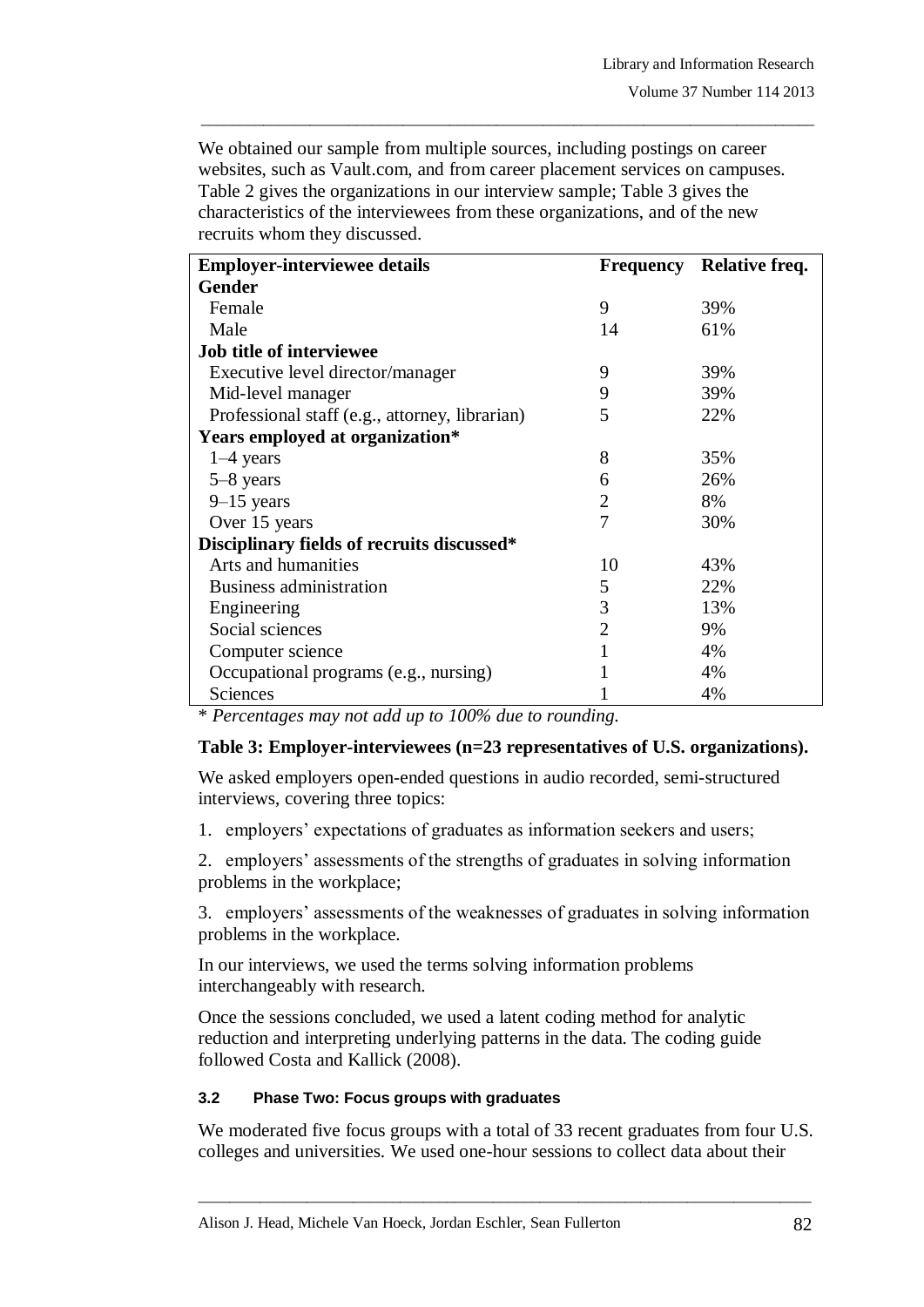We obtained our sample from multiple sources, including postings on career websites, such as Vault.com, and from career placement services on campuses. Table 2 gives the organizations in our interview sample; Table 3 gives the characteristics of the interviewees from these organizations, and of the new recruits whom they discussed.

\_\_\_\_\_\_\_\_\_\_\_\_\_\_\_\_\_\_\_\_\_\_\_\_\_\_\_\_\_\_\_\_\_\_\_\_\_\_\_\_\_\_\_\_\_\_\_\_\_\_\_\_\_\_\_\_\_\_\_\_\_\_\_\_\_\_\_\_\_\_\_\_\_\_\_\_\_\_\_

| <b>Employer-interviewee details</b>            |                | <b>Frequency</b> Relative freq. |  |
|------------------------------------------------|----------------|---------------------------------|--|
| Gender                                         |                |                                 |  |
| Female                                         | 9              | 39%                             |  |
| Male                                           | 14             | 61%                             |  |
| Job title of interviewee                       |                |                                 |  |
| Executive level director/manager               | 9              | 39%                             |  |
| Mid-level manager                              | 9              | 39%                             |  |
| Professional staff (e.g., attorney, librarian) | 5              | 22%                             |  |
| Years employed at organization*                |                |                                 |  |
| $1-4$ years                                    | 8              | 35%                             |  |
| $5-8$ years                                    | 6              | 26%                             |  |
| $9-15$ years                                   | $\overline{2}$ | 8%                              |  |
| Over 15 years                                  | 7              | 30%                             |  |
| Disciplinary fields of recruits discussed*     |                |                                 |  |
| Arts and humanities                            | 10             | 43%                             |  |
| Business administration                        | 5              | 22%                             |  |
| Engineering                                    | 3              | 13%                             |  |
| Social sciences                                | $\overline{2}$ | 9%                              |  |
| Computer science                               |                | 4%                              |  |
| Occupational programs (e.g., nursing)          |                | 4%                              |  |
| Sciences                                       |                | 4%                              |  |

\* *Percentages may not add up to 100% due to rounding.*

#### **Table 3: Employer-interviewees (n=23 representatives of U.S. organizations).**

We asked employers open-ended questions in audio recorded, semi-structured interviews, covering three topics:

1. employers" expectations of graduates as information seekers and users;

2. employers" assessments of the strengths of graduates in solving information problems in the workplace;

3. employers" assessments of the weaknesses of graduates in solving information problems in the workplace.

In our interviews, we used the terms solving information problems interchangeably with research.

Once the sessions concluded, we used a latent coding method for analytic reduction and interpreting underlying patterns in the data. The coding guide followed Costa and Kallick (2008).

#### **3.2 Phase Two: Focus groups with graduates**

We moderated five focus groups with a total of 33 recent graduates from four U.S. colleges and universities. We used one-hour sessions to collect data about their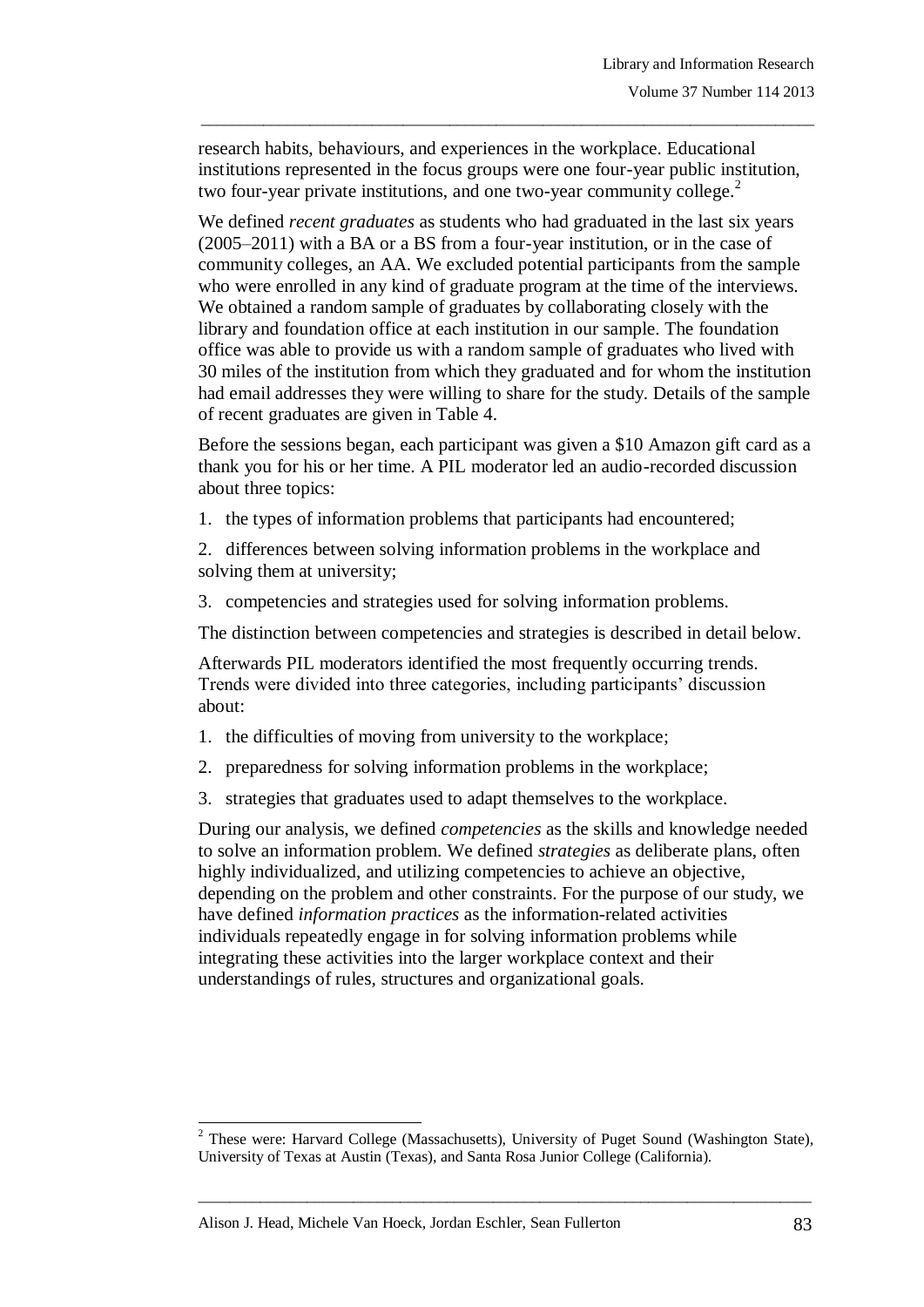research habits, behaviours, and experiences in the workplace. Educational institutions represented in the focus groups were one four-year public institution, two four-year private institutions, and one two-year community college.<sup>2</sup>

\_\_\_\_\_\_\_\_\_\_\_\_\_\_\_\_\_\_\_\_\_\_\_\_\_\_\_\_\_\_\_\_\_\_\_\_\_\_\_\_\_\_\_\_\_\_\_\_\_\_\_\_\_\_\_\_\_\_\_\_\_\_\_\_\_\_\_\_\_\_\_\_\_\_\_\_\_\_\_

We defined *recent graduates* as students who had graduated in the last six years (2005–2011) with a BA or a BS from a four-year institution, or in the case of community colleges, an AA. We excluded potential participants from the sample who were enrolled in any kind of graduate program at the time of the interviews. We obtained a random sample of graduates by collaborating closely with the library and foundation office at each institution in our sample. The foundation office was able to provide us with a random sample of graduates who lived with 30 miles of the institution from which they graduated and for whom the institution had email addresses they were willing to share for the study. Details of the sample of recent graduates are given in Table 4.

Before the sessions began, each participant was given a \$10 Amazon gift card as a thank you for his or her time. A PIL moderator led an audio-recorded discussion about three topics:

1. the types of information problems that participants had encountered;

2. differences between solving information problems in the workplace and solving them at university;

3. competencies and strategies used for solving information problems.

The distinction between competencies and strategies is described in detail below.

Afterwards PIL moderators identified the most frequently occurring trends. Trends were divided into three categories, including participants" discussion about:

- 1. the difficulties of moving from university to the workplace;
- 2. preparedness for solving information problems in the workplace;
- 3. strategies that graduates used to adapt themselves to the workplace.

During our analysis, we defined *competencies* as the skills and knowledge needed to solve an information problem. We defined *strategies* as deliberate plans, often highly individualized, and utilizing competencies to achieve an objective, depending on the problem and other constraints. For the purpose of our study, we have defined *information practices* as the information-related activities individuals repeatedly engage in for solving information problems while integrating these activities into the larger workplace context and their understandings of rules, structures and organizational goals.

\_\_\_\_\_\_\_\_\_\_\_\_\_\_\_\_\_\_\_\_\_\_\_\_\_\_\_\_\_\_\_\_\_\_\_\_\_\_\_\_\_\_\_\_\_\_\_\_\_\_\_\_\_\_\_\_\_\_\_\_\_\_\_\_\_\_\_\_\_\_\_\_\_\_\_\_\_\_\_

l

<sup>&</sup>lt;sup>2</sup> These were: Harvard College (Massachusetts), University of Puget Sound (Washington State), University of Texas at Austin (Texas), and Santa Rosa Junior College (California).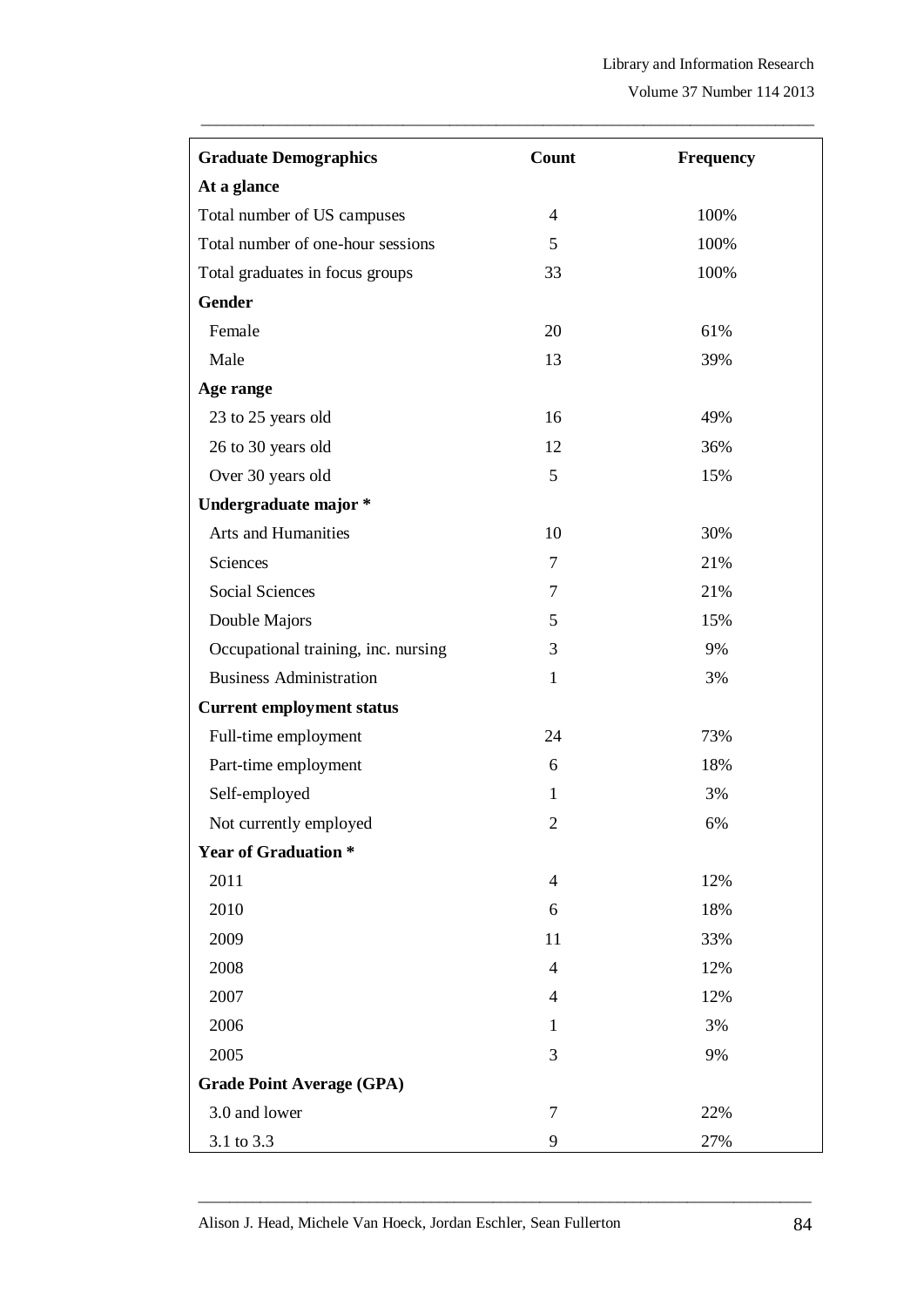| <b>Graduate Demographics</b>        | Count          | <b>Frequency</b> |  |
|-------------------------------------|----------------|------------------|--|
| At a glance                         |                |                  |  |
| Total number of US campuses         | $\overline{4}$ | 100%             |  |
| Total number of one-hour sessions   | 5              | 100%             |  |
| Total graduates in focus groups     | 33             | 100%             |  |
| <b>Gender</b>                       |                |                  |  |
| Female                              | 20             | 61%              |  |
| Male                                | 13             | 39%              |  |
| Age range                           |                |                  |  |
| 23 to 25 years old                  | 16             | 49%              |  |
| 26 to 30 years old                  | 12             | 36%              |  |
| Over 30 years old                   | 5              | 15%              |  |
| Undergraduate major *               |                |                  |  |
| Arts and Humanities                 | 10             | 30%              |  |
| Sciences                            | $\overline{7}$ | 21%              |  |
| <b>Social Sciences</b>              | 7              | 21%              |  |
| Double Majors                       | 5              | 15%              |  |
| Occupational training, inc. nursing | 3              | 9%               |  |
| <b>Business Administration</b>      | $\mathbf{1}$   | 3%               |  |
| <b>Current employment status</b>    |                |                  |  |
| Full-time employment                | 24             | 73%              |  |
| Part-time employment                | 6              | 18%              |  |
| Self-employed                       | 1              | 3%               |  |
| Not currently employed              | $\mathfrak{2}$ | 6%               |  |
| <b>Year of Graduation *</b>         |                |                  |  |
| 2011                                | $\overline{4}$ | 12%              |  |
| 2010                                | 6              | 18%              |  |
| 2009                                | 11             | 33%              |  |
| 2008                                | $\overline{4}$ | 12%              |  |
| 2007                                | $\overline{4}$ | 12%              |  |
| 2006                                | 1              | 3%               |  |
| 2005                                | 3              | 9%               |  |
| <b>Grade Point Average (GPA)</b>    |                |                  |  |
| 3.0 and lower                       | $\tau$         | 22%              |  |
| 3.1 to 3.3                          | 9              | 27%              |  |

\_\_\_\_\_\_\_\_\_\_\_\_\_\_\_\_\_\_\_\_\_\_\_\_\_\_\_\_\_\_\_\_\_\_\_\_\_\_\_\_\_\_\_\_\_\_\_\_\_\_\_\_\_\_\_\_\_\_\_\_\_\_\_\_\_\_\_\_\_\_\_\_\_\_\_\_\_\_\_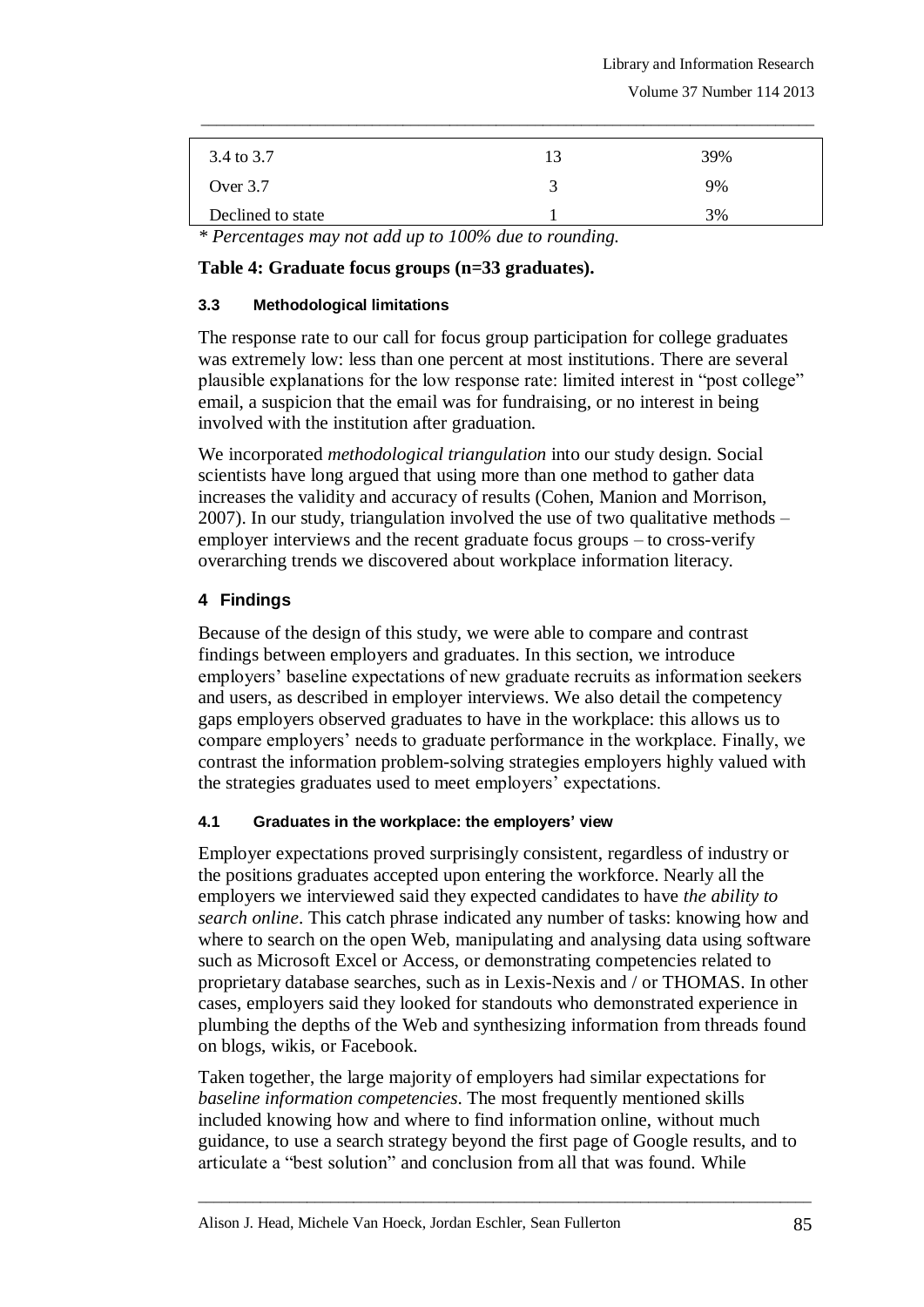Volume 37 Number 114 2013

| 3.4 to 3.7        | 39% |
|-------------------|-----|
| Over $3.7$        | 9%  |
| Declined to state | 3%  |

\_\_\_\_\_\_\_\_\_\_\_\_\_\_\_\_\_\_\_\_\_\_\_\_\_\_\_\_\_\_\_\_\_\_\_\_\_\_\_\_\_\_\_\_\_\_\_\_\_\_\_\_\_\_\_\_\_\_\_\_\_\_\_\_\_\_\_\_\_\_\_\_\_\_\_\_\_\_\_

*\* Percentages may not add up to 100% due to rounding.*

## **Table 4: Graduate focus groups (n=33 graduates).**

#### **3.3 Methodological limitations**

The response rate to our call for focus group participation for college graduates was extremely low: less than one percent at most institutions. There are several plausible explanations for the low response rate: limited interest in "post college" email, a suspicion that the email was for fundraising, or no interest in being involved with the institution after graduation.

We incorporated *methodological triangulation* into our study design. Social scientists have long argued that using more than one method to gather data increases the validity and accuracy of results (Cohen, Manion and Morrison, 2007). In our study, triangulation involved the use of two qualitative methods – employer interviews and the recent graduate focus groups – to cross-verify overarching trends we discovered about workplace information literacy.

# **4 Findings**

Because of the design of this study, we were able to compare and contrast findings between employers and graduates. In this section, we introduce employers" baseline expectations of new graduate recruits as information seekers and users, as described in employer interviews. We also detail the competency gaps employers observed graduates to have in the workplace: this allows us to compare employers" needs to graduate performance in the workplace. Finally, we contrast the information problem-solving strategies employers highly valued with the strategies graduates used to meet employers' expectations.

## **4.1 Graduates in the workplace: the employers' view**

Employer expectations proved surprisingly consistent, regardless of industry or the positions graduates accepted upon entering the workforce. Nearly all the employers we interviewed said they expected candidates to have *the ability to search online*. This catch phrase indicated any number of tasks: knowing how and where to search on the open Web, manipulating and analysing data using software such as Microsoft Excel or Access, or demonstrating competencies related to proprietary database searches, such as in Lexis-Nexis and / or THOMAS. In other cases, employers said they looked for standouts who demonstrated experience in plumbing the depths of the Web and synthesizing information from threads found on blogs, wikis, or Facebook.

Taken together, the large majority of employers had similar expectations for *baseline information competencies*. The most frequently mentioned skills included knowing how and where to find information online, without much guidance, to use a search strategy beyond the first page of Google results, and to articulate a "best solution" and conclusion from all that was found. While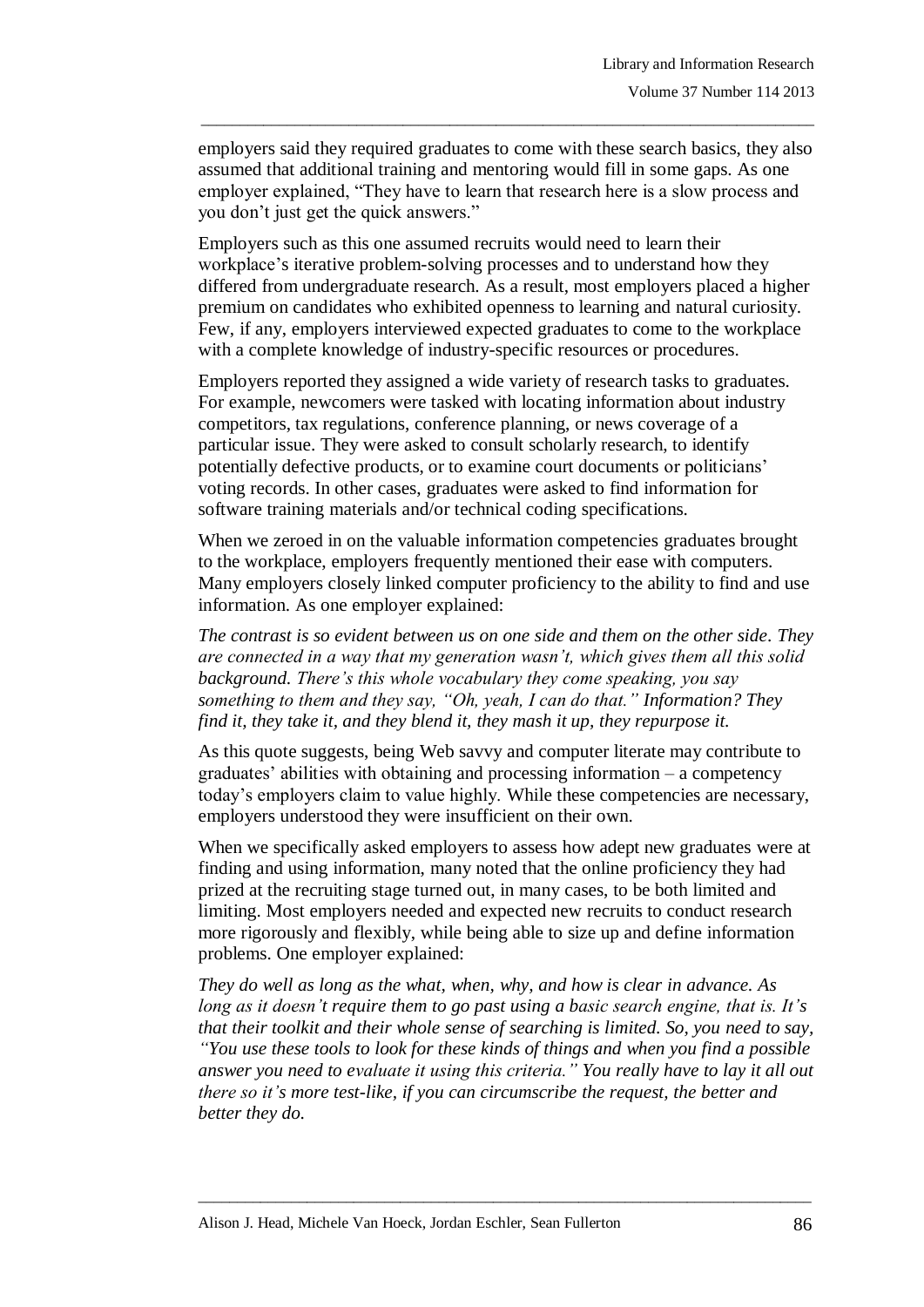employers said they required graduates to come with these search basics, they also assumed that additional training and mentoring would fill in some gaps. As one employer explained, "They have to learn that research here is a slow process and you don"t just get the quick answers."

\_\_\_\_\_\_\_\_\_\_\_\_\_\_\_\_\_\_\_\_\_\_\_\_\_\_\_\_\_\_\_\_\_\_\_\_\_\_\_\_\_\_\_\_\_\_\_\_\_\_\_\_\_\_\_\_\_\_\_\_\_\_\_\_\_\_\_\_\_\_\_\_\_\_\_\_\_\_\_

Employers such as this one assumed recruits would need to learn their workplace's iterative problem-solving processes and to understand how they differed from undergraduate research. As a result, most employers placed a higher premium on candidates who exhibited openness to learning and natural curiosity. Few, if any, employers interviewed expected graduates to come to the workplace with a complete knowledge of industry-specific resources or procedures.

Employers reported they assigned a wide variety of research tasks to graduates. For example, newcomers were tasked with locating information about industry competitors, tax regulations, conference planning, or news coverage of a particular issue. They were asked to consult scholarly research, to identify potentially defective products, or to examine court documents or politicians" voting records. In other cases, graduates were asked to find information for software training materials and/or technical coding specifications.

When we zeroed in on the valuable information competencies graduates brought to the workplace, employers frequently mentioned their ease with computers. Many employers closely linked computer proficiency to the ability to find and use information. As one employer explained:

*The contrast is so evident between us on one side and them on the other side. They are connected in a way that my generation wasn't, which gives them all this solid background. There's this whole vocabulary they come speaking, you say something to them and they say, "Oh, yeah, I can do that." Information? They find it, they take it, and they blend it, they mash it up, they repurpose it.*

As this quote suggests, being Web savvy and computer literate may contribute to  $graduates'$  abilities with obtaining and processing information – a competency today"s employers claim to value highly. While these competencies are necessary, employers understood they were insufficient on their own.

When we specifically asked employers to assess how adept new graduates were at finding and using information, many noted that the online proficiency they had prized at the recruiting stage turned out, in many cases, to be both limited and limiting. Most employers needed and expected new recruits to conduct research more rigorously and flexibly, while being able to size up and define information problems. One employer explained:

*They do well as long as the what, when, why, and how is clear in advance. As long as it doesn't require them to go past using a basic search engine, that is. It's that their toolkit and their whole sense of searching is limited. So, you need to say, ―You use these tools to look for these kinds of things and when you find a possible answer you need to evaluate it using this criteria.‖ You really have to lay it all out there so it's more test-like, if you can circumscribe the request, the better and better they do.*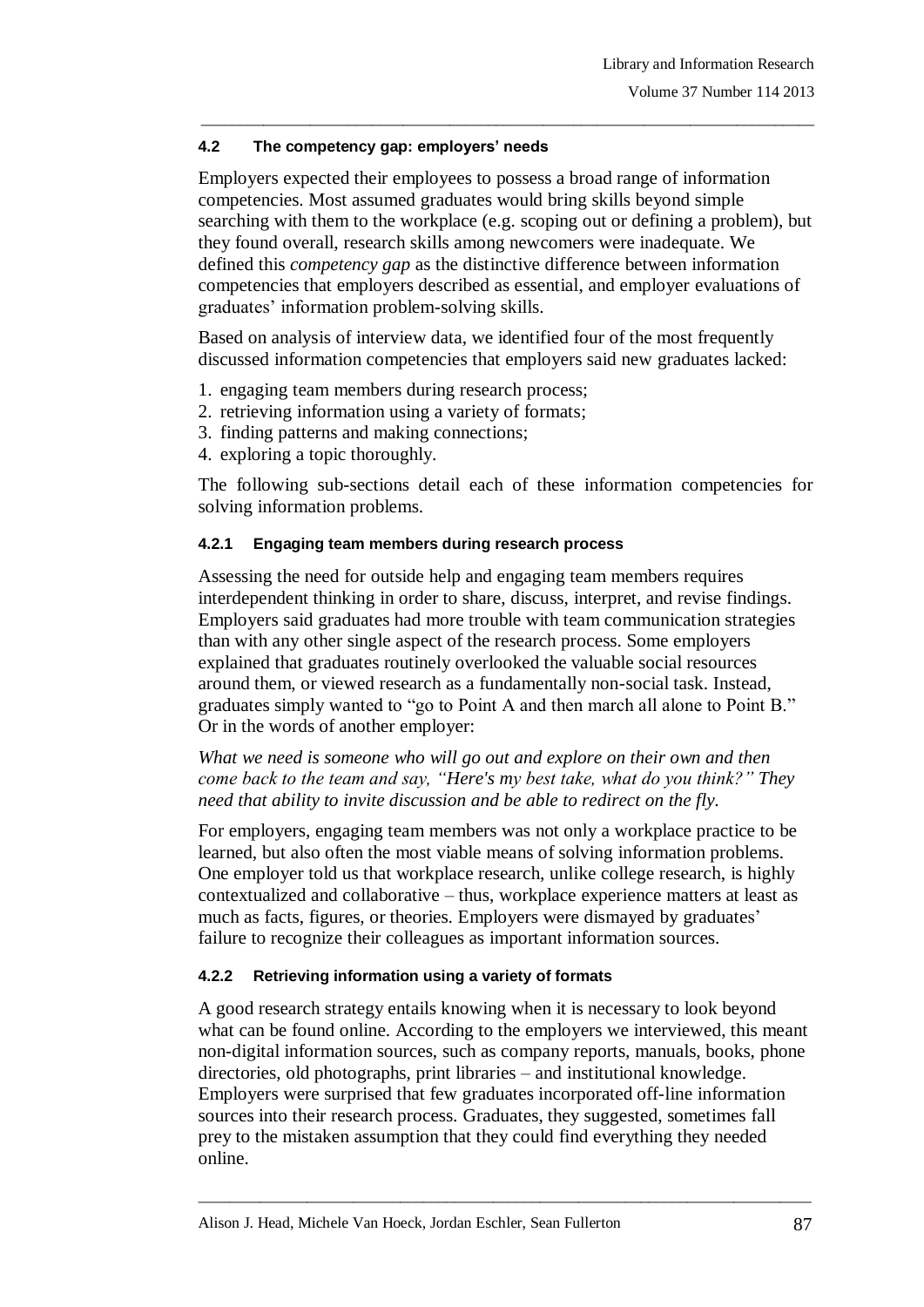## **4.2 The competency gap: employers' needs**

Employers expected their employees to possess a broad range of information competencies. Most assumed graduates would bring skills beyond simple searching with them to the workplace (e.g. scoping out or defining a problem), but they found overall, research skills among newcomers were inadequate. We defined this *competency gap* as the distinctive difference between information competencies that employers described as essential, and employer evaluations of graduates" information problem-solving skills.

\_\_\_\_\_\_\_\_\_\_\_\_\_\_\_\_\_\_\_\_\_\_\_\_\_\_\_\_\_\_\_\_\_\_\_\_\_\_\_\_\_\_\_\_\_\_\_\_\_\_\_\_\_\_\_\_\_\_\_\_\_\_\_\_\_\_\_\_\_\_\_\_\_\_\_\_\_\_\_

Based on analysis of interview data, we identified four of the most frequently discussed information competencies that employers said new graduates lacked:

- 1. engaging team members during research process;
- 2. retrieving information using a variety of formats;
- 3. finding patterns and making connections;
- 4. exploring a topic thoroughly.

The following sub-sections detail each of these information competencies for solving information problems.

## **4.2.1 Engaging team members during research process**

Assessing the need for outside help and engaging team members requires interdependent thinking in order to share, discuss, interpret, and revise findings. Employers said graduates had more trouble with team communication strategies than with any other single aspect of the research process. Some employers explained that graduates routinely overlooked the valuable social resources around them, or viewed research as a fundamentally non-social task. Instead, graduates simply wanted to "go to Point A and then march all alone to Point B." Or in the words of another employer:

*What we need is someone who will go out and explore on their own and then come back to the team and say, "Here's my best take, what do you think?" They need that ability to invite discussion and be able to redirect on the fly.* 

For employers, engaging team members was not only a workplace practice to be learned, but also often the most viable means of solving information problems. One employer told us that workplace research, unlike college research, is highly contextualized and collaborative – thus, workplace experience matters at least as much as facts, figures, or theories. Employers were dismayed by graduates' failure to recognize their colleagues as important information sources.

## **4.2.2 Retrieving information using a variety of formats**

A good research strategy entails knowing when it is necessary to look beyond what can be found online. According to the employers we interviewed, this meant non-digital information sources, such as company reports, manuals, books, phone directories, old photographs, print libraries – and institutional knowledge. Employers were surprised that few graduates incorporated off-line information sources into their research process. Graduates, they suggested, sometimes fall prey to the mistaken assumption that they could find everything they needed online.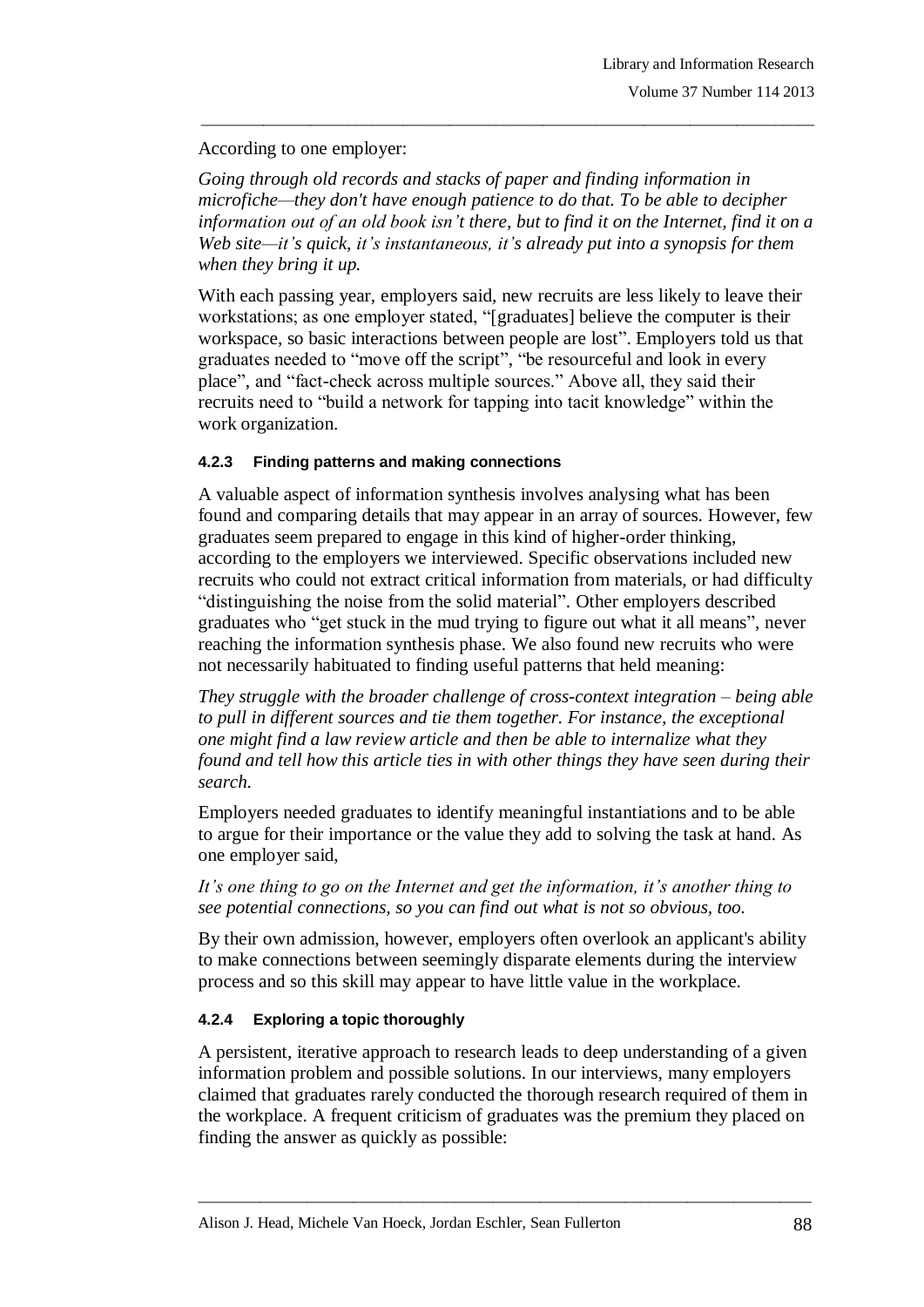## According to one employer:

*Going through old records and stacks of paper and finding information in microfiche—they don't have enough patience to do that. To be able to decipher information out of an old book isn't there, but to find it on the Internet, find it on a Web site—it's quick, it's instantaneous, it's already put into a synopsis for them when they bring it up.*

\_\_\_\_\_\_\_\_\_\_\_\_\_\_\_\_\_\_\_\_\_\_\_\_\_\_\_\_\_\_\_\_\_\_\_\_\_\_\_\_\_\_\_\_\_\_\_\_\_\_\_\_\_\_\_\_\_\_\_\_\_\_\_\_\_\_\_\_\_\_\_\_\_\_\_\_\_\_\_

With each passing year, employers said, new recruits are less likely to leave their workstations; as one employer stated, "[graduates] believe the computer is their workspace, so basic interactions between people are lost". Employers told us that graduates needed to "move off the script", "be resourceful and look in every place", and "fact-check across multiple sources." Above all, they said their recruits need to "build a network for tapping into tacit knowledge" within the work organization.

# **4.2.3 Finding patterns and making connections**

A valuable aspect of information synthesis involves analysing what has been found and comparing details that may appear in an array of sources. However, few graduates seem prepared to engage in this kind of higher-order thinking, according to the employers we interviewed. Specific observations included new recruits who could not extract critical information from materials, or had difficulty "distinguishing the noise from the solid material". Other employers described graduates who "get stuck in the mud trying to figure out what it all means", never reaching the information synthesis phase. We also found new recruits who were not necessarily habituated to finding useful patterns that held meaning:

*They struggle with the broader challenge of cross-context integration – being able to pull in different sources and tie them together. For instance, the exceptional one might find a law review article and then be able to internalize what they found and tell how this article ties in with other things they have seen during their search.*

Employers needed graduates to identify meaningful instantiations and to be able to argue for their importance or the value they add to solving the task at hand. As one employer said,

*It's one thing to go on the Internet and get the information, it's another thing to see potential connections, so you can find out what is not so obvious, too.*

By their own admission, however, employers often overlook an applicant's ability to make connections between seemingly disparate elements during the interview process and so this skill may appear to have little value in the workplace.

# **4.2.4 Exploring a topic thoroughly**

A persistent, iterative approach to research leads to deep understanding of a given information problem and possible solutions. In our interviews, many employers claimed that graduates rarely conducted the thorough research required of them in the workplace. A frequent criticism of graduates was the premium they placed on finding the answer as quickly as possible: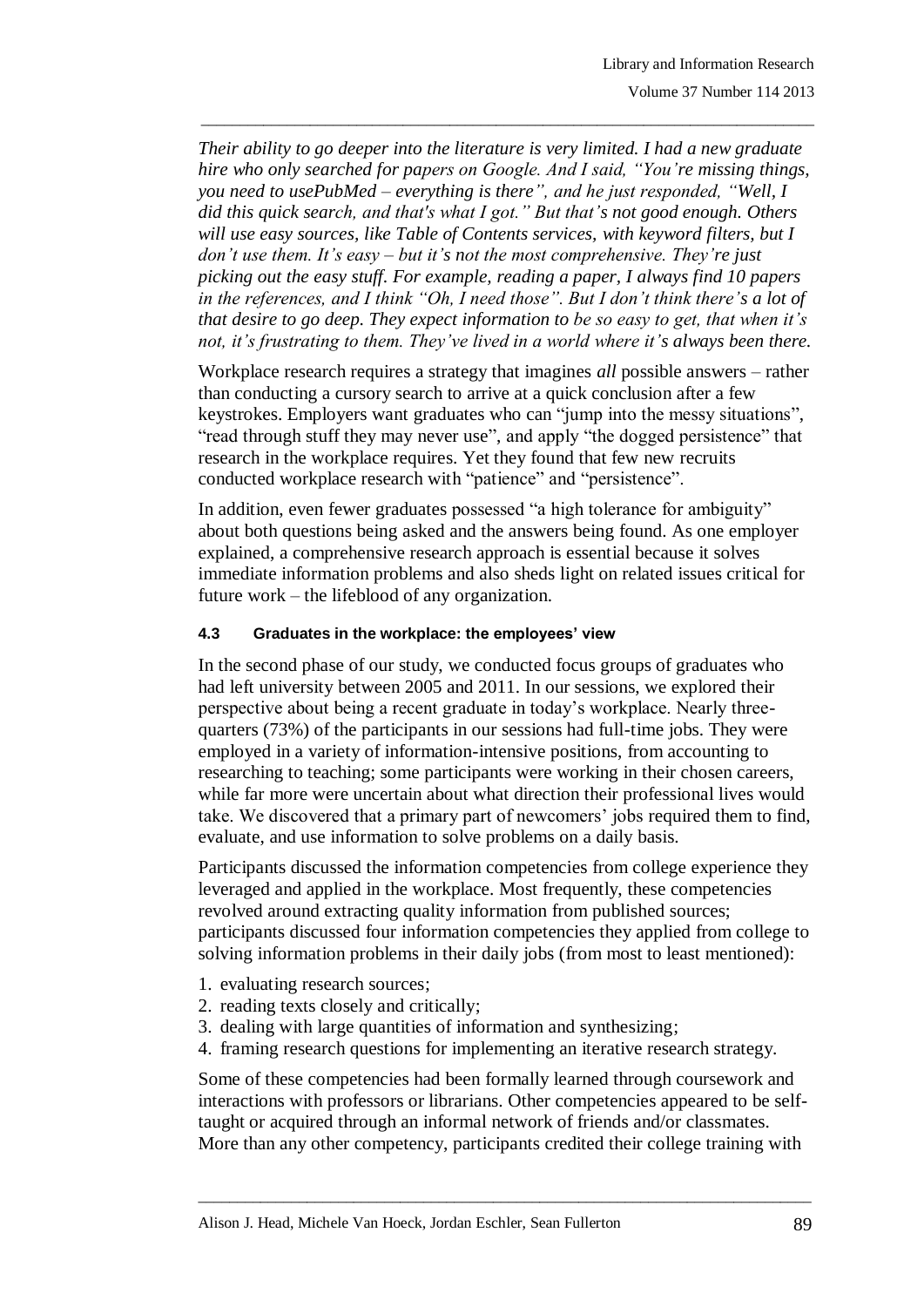*Their ability to go deeper into the literature is very limited. I had a new graduate hire who only searched for papers on Google. And I said, "You're missing things,* you need to usePubMed – everything is there", and he just responded, "Well, I did this quick search, and that's what I got." But that's not good enough. Others *will use easy sources, like Table of Contents services, with keyword filters, but I don't use them. It's easy – but it's not the most comprehensive. They're just picking out the easy stuff. For example, reading a paper, I always find 10 papers in the references, and I think "Oh, I need those". But I don't think there's a lot of that desire to go deep. They expect information to be so easy to get, that when it's not, it's frustrating to them. They've lived in a world where it's always been there.*

\_\_\_\_\_\_\_\_\_\_\_\_\_\_\_\_\_\_\_\_\_\_\_\_\_\_\_\_\_\_\_\_\_\_\_\_\_\_\_\_\_\_\_\_\_\_\_\_\_\_\_\_\_\_\_\_\_\_\_\_\_\_\_\_\_\_\_\_\_\_\_\_\_\_\_\_\_\_\_

Workplace research requires a strategy that imagines *all* possible answers – rather than conducting a cursory search to arrive at a quick conclusion after a few keystrokes. Employers want graduates who can "jump into the messy situations", "read through stuff they may never use", and apply "the dogged persistence" that research in the workplace requires. Yet they found that few new recruits conducted workplace research with "patience" and "persistence".

In addition, even fewer graduates possessed "a high tolerance for ambiguity" about both questions being asked and the answers being found. As one employer explained, a comprehensive research approach is essential because it solves immediate information problems and also sheds light on related issues critical for future work – the lifeblood of any organization.

#### **4.3 Graduates in the workplace: the employees' view**

In the second phase of our study, we conducted focus groups of graduates who had left university between 2005 and 2011. In our sessions, we explored their perspective about being a recent graduate in today"s workplace. Nearly threequarters (73%) of the participants in our sessions had full-time jobs. They were employed in a variety of information-intensive positions, from accounting to researching to teaching; some participants were working in their chosen careers, while far more were uncertain about what direction their professional lives would take. We discovered that a primary part of newcomers' jobs required them to find, evaluate, and use information to solve problems on a daily basis.

Participants discussed the information competencies from college experience they leveraged and applied in the workplace. Most frequently, these competencies revolved around extracting quality information from published sources; participants discussed four information competencies they applied from college to solving information problems in their daily jobs (from most to least mentioned):

- 1. evaluating research sources;
- 2. reading texts closely and critically;
- 3. dealing with large quantities of information and synthesizing;
- 4. framing research questions for implementing an iterative research strategy.

Some of these competencies had been formally learned through coursework and interactions with professors or librarians. Other competencies appeared to be selftaught or acquired through an informal network of friends and/or classmates. More than any other competency, participants credited their college training with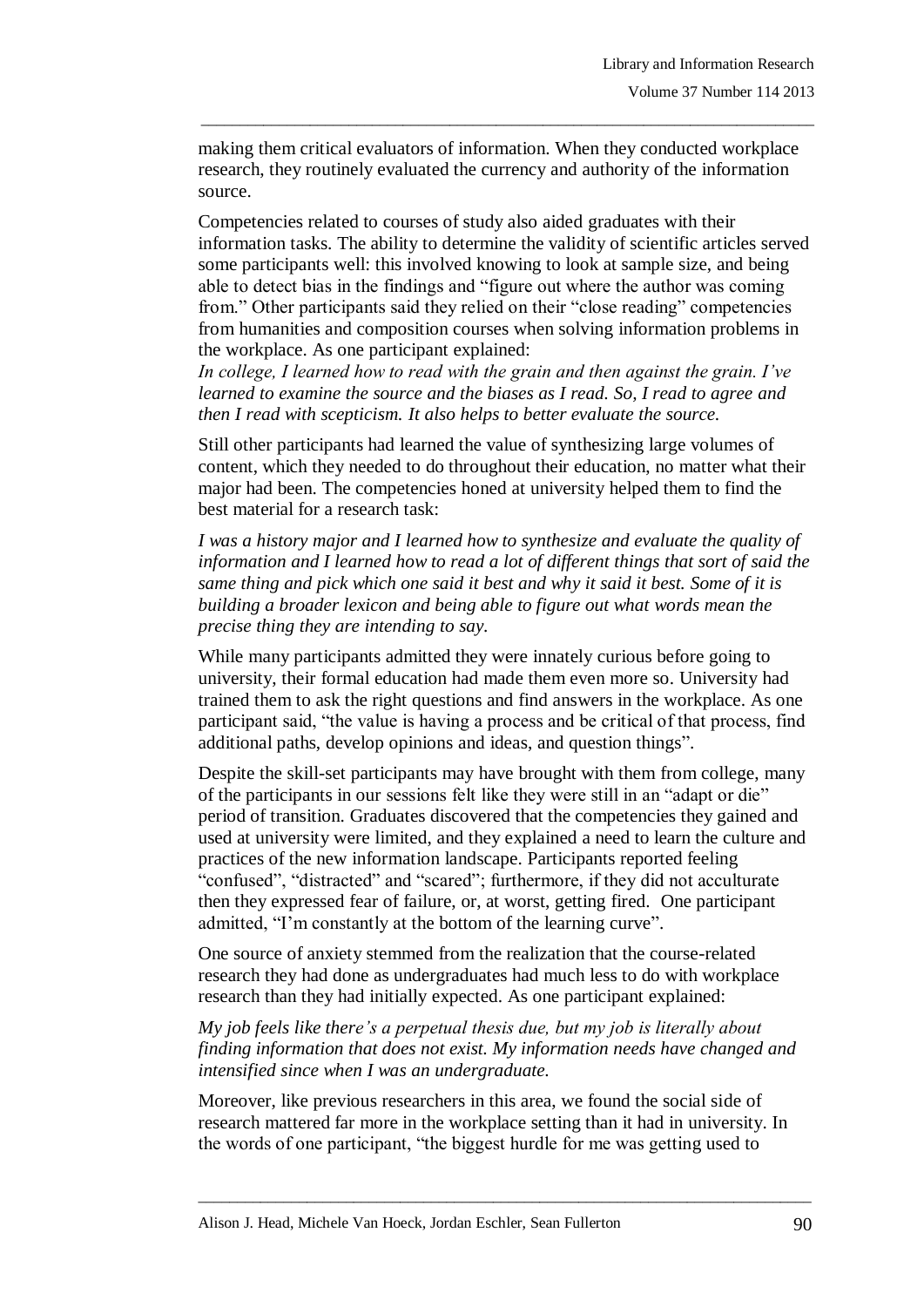making them critical evaluators of information. When they conducted workplace research, they routinely evaluated the currency and authority of the information source.

\_\_\_\_\_\_\_\_\_\_\_\_\_\_\_\_\_\_\_\_\_\_\_\_\_\_\_\_\_\_\_\_\_\_\_\_\_\_\_\_\_\_\_\_\_\_\_\_\_\_\_\_\_\_\_\_\_\_\_\_\_\_\_\_\_\_\_\_\_\_\_\_\_\_\_\_\_\_\_

Competencies related to courses of study also aided graduates with their information tasks. The ability to determine the validity of scientific articles served some participants well: this involved knowing to look at sample size, and being able to detect bias in the findings and "figure out where the author was coming from." Other participants said they relied on their "close reading" competencies from humanities and composition courses when solving information problems in the workplace. As one participant explained:

*In college, I learned how to read with the grain and then against the grain. I've learned to examine the source and the biases as I read. So, I read to agree and then I read with scepticism. It also helps to better evaluate the source.* 

Still other participants had learned the value of synthesizing large volumes of content, which they needed to do throughout their education, no matter what their major had been. The competencies honed at university helped them to find the best material for a research task:

*I was a history major and I learned how to synthesize and evaluate the quality of information and I learned how to read a lot of different things that sort of said the same thing and pick which one said it best and why it said it best. Some of it is building a broader lexicon and being able to figure out what words mean the precise thing they are intending to say.*

While many participants admitted they were innately curious before going to university, their formal education had made them even more so. University had trained them to ask the right questions and find answers in the workplace. As one participant said, "the value is having a process and be critical of that process, find additional paths, develop opinions and ideas, and question things".

Despite the skill-set participants may have brought with them from college, many of the participants in our sessions felt like they were still in an "adapt or die" period of transition. Graduates discovered that the competencies they gained and used at university were limited, and they explained a need to learn the culture and practices of the new information landscape. Participants reported feeling "confused", "distracted" and "scared"; furthermore, if they did not acculturate then they expressed fear of failure, or, at worst, getting fired. One participant admitted, "I"m constantly at the bottom of the learning curve".

One source of anxiety stemmed from the realization that the course-related research they had done as undergraduates had much less to do with workplace research than they had initially expected. As one participant explained:

*My job feels like there's a perpetual thesis due, but my job is literally about finding information that does not exist. My information needs have changed and intensified since when I was an undergraduate.*

Moreover, like previous researchers in this area, we found the social side of research mattered far more in the workplace setting than it had in university. In the words of one participant, "the biggest hurdle for me was getting used to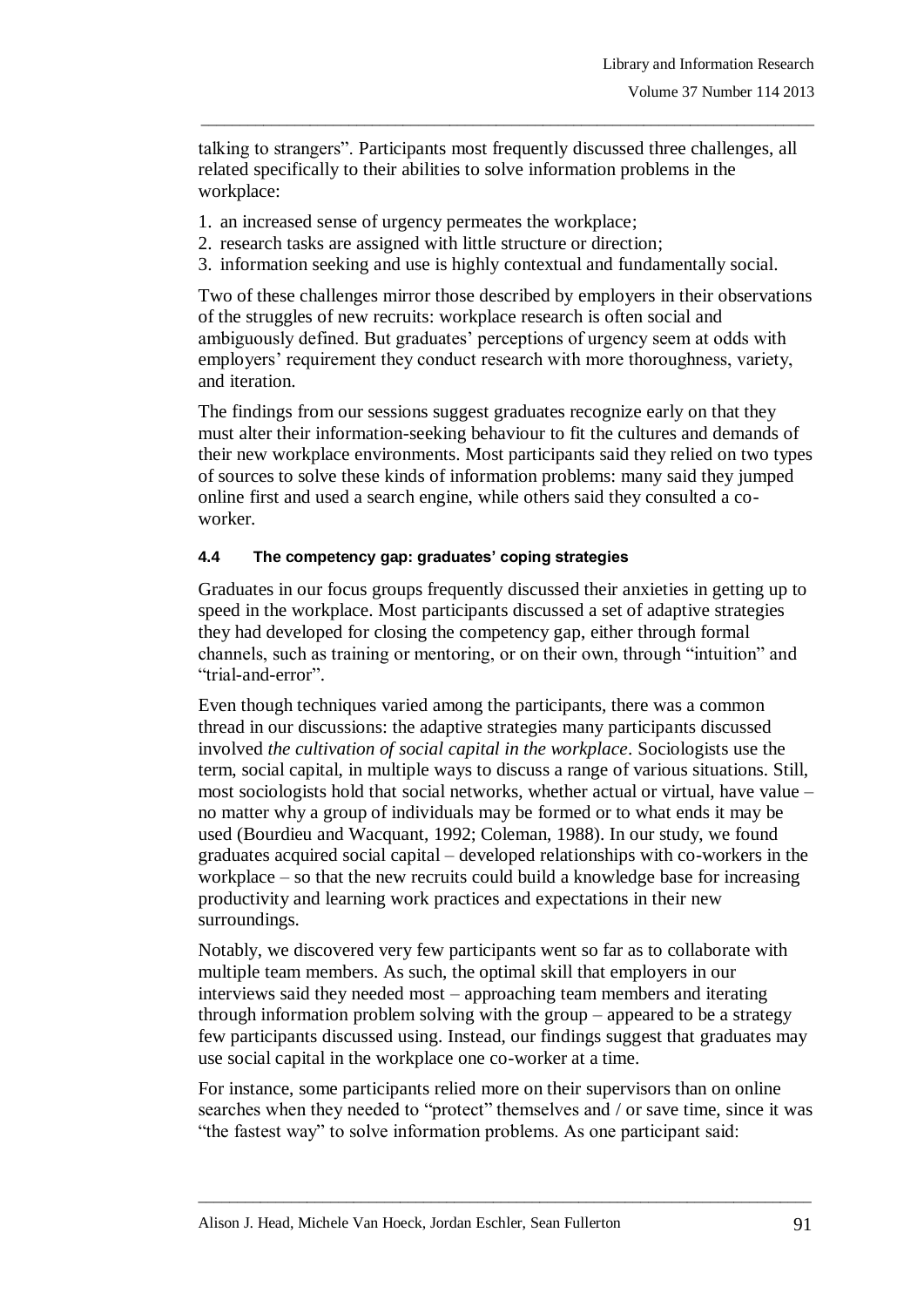talking to strangers". Participants most frequently discussed three challenges, all related specifically to their abilities to solve information problems in the workplace:

\_\_\_\_\_\_\_\_\_\_\_\_\_\_\_\_\_\_\_\_\_\_\_\_\_\_\_\_\_\_\_\_\_\_\_\_\_\_\_\_\_\_\_\_\_\_\_\_\_\_\_\_\_\_\_\_\_\_\_\_\_\_\_\_\_\_\_\_\_\_\_\_\_\_\_\_\_\_\_

- 1. an increased sense of urgency permeates the workplace;
- 2. research tasks are assigned with little structure or direction;
- 3. information seeking and use is highly contextual and fundamentally social.

Two of these challenges mirror those described by employers in their observations of the struggles of new recruits: workplace research is often social and ambiguously defined. But graduates" perceptions of urgency seem at odds with employers' requirement they conduct research with more thoroughness, variety, and iteration.

The findings from our sessions suggest graduates recognize early on that they must alter their information-seeking behaviour to fit the cultures and demands of their new workplace environments. Most participants said they relied on two types of sources to solve these kinds of information problems: many said they jumped online first and used a search engine, while others said they consulted a coworker.

## **4.4 The competency gap: graduates' coping strategies**

Graduates in our focus groups frequently discussed their anxieties in getting up to speed in the workplace. Most participants discussed a set of adaptive strategies they had developed for closing the competency gap, either through formal channels, such as training or mentoring, or on their own, through "intuition" and "trial-and-error".

Even though techniques varied among the participants, there was a common thread in our discussions: the adaptive strategies many participants discussed involved *the cultivation of social capital in the workplace*. Sociologists use the term, social capital, in multiple ways to discuss a range of various situations. Still, most sociologists hold that social networks, whether actual or virtual, have value – no matter why a group of individuals may be formed or to what ends it may be used (Bourdieu and Wacquant, 1992; Coleman, 1988). In our study, we found graduates acquired social capital – developed relationships with co-workers in the workplace – so that the new recruits could build a knowledge base for increasing productivity and learning work practices and expectations in their new surroundings.

Notably, we discovered very few participants went so far as to collaborate with multiple team members. As such, the optimal skill that employers in our interviews said they needed most – approaching team members and iterating through information problem solving with the group – appeared to be a strategy few participants discussed using. Instead, our findings suggest that graduates may use social capital in the workplace one co-worker at a time.

For instance, some participants relied more on their supervisors than on online searches when they needed to "protect" themselves and / or save time, since it was "the fastest way" to solve information problems. As one participant said: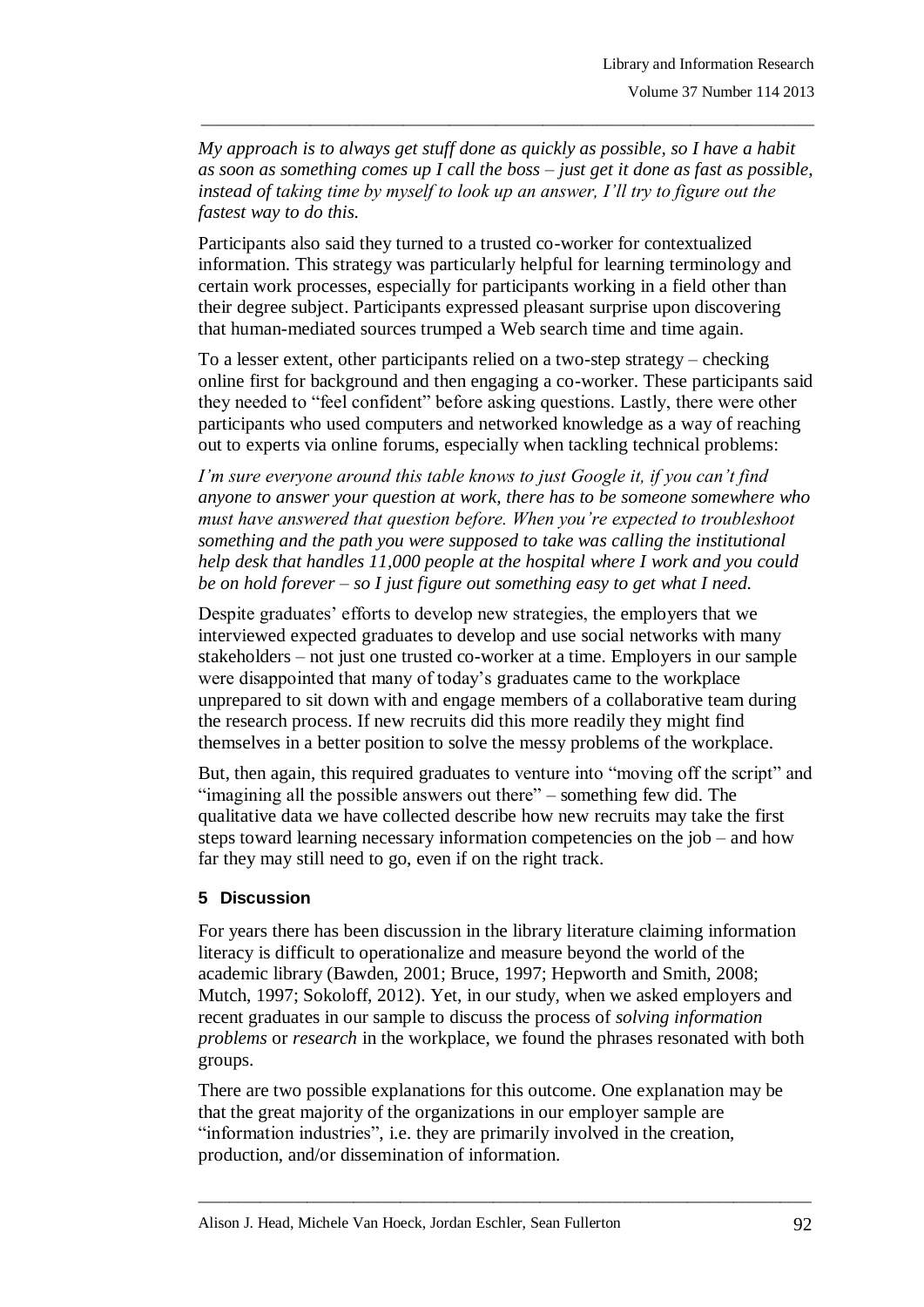*My approach is to always get stuff done as quickly as possible, so I have a habit as soon as something comes up I call the boss – just get it done as fast as possible, instead of taking time by myself to look up an answer, I'll try to figure out the fastest way to do this.*

\_\_\_\_\_\_\_\_\_\_\_\_\_\_\_\_\_\_\_\_\_\_\_\_\_\_\_\_\_\_\_\_\_\_\_\_\_\_\_\_\_\_\_\_\_\_\_\_\_\_\_\_\_\_\_\_\_\_\_\_\_\_\_\_\_\_\_\_\_\_\_\_\_\_\_\_\_\_\_

Participants also said they turned to a trusted co-worker for contextualized information. This strategy was particularly helpful for learning terminology and certain work processes, especially for participants working in a field other than their degree subject. Participants expressed pleasant surprise upon discovering that human-mediated sources trumped a Web search time and time again.

To a lesser extent, other participants relied on a two-step strategy – checking online first for background and then engaging a co-worker. These participants said they needed to "feel confident" before asking questions. Lastly, there were other participants who used computers and networked knowledge as a way of reaching out to experts via online forums, especially when tackling technical problems:

*I'm sure everyone around this table knows to just Google it, if you can't find anyone to answer your question at work, there has to be someone somewhere who must have answered that question before. When you're expected to troubleshoot something and the path you were supposed to take was calling the institutional help desk that handles 11,000 people at the hospital where I work and you could be on hold forever – so I just figure out something easy to get what I need.*

Despite graduates' efforts to develop new strategies, the employers that we interviewed expected graduates to develop and use social networks with many stakeholders – not just one trusted co-worker at a time. Employers in our sample were disappointed that many of today"s graduates came to the workplace unprepared to sit down with and engage members of a collaborative team during the research process. If new recruits did this more readily they might find themselves in a better position to solve the messy problems of the workplace.

But, then again, this required graduates to venture into "moving off the script" and "imagining all the possible answers out there" – something few did. The qualitative data we have collected describe how new recruits may take the first steps toward learning necessary information competencies on the job – and how far they may still need to go, even if on the right track.

## **5 Discussion**

For years there has been discussion in the library literature claiming information literacy is difficult to operationalize and measure beyond the world of the academic library (Bawden, 2001; Bruce, 1997; Hepworth and Smith, 2008; Mutch, 1997; Sokoloff, 2012). Yet, in our study, when we asked employers and recent graduates in our sample to discuss the process of *solving information problems* or *research* in the workplace, we found the phrases resonated with both groups.

There are two possible explanations for this outcome. One explanation may be that the great majority of the organizations in our employer sample are "information industries", i.e. they are primarily involved in the creation, production, and/or dissemination of information.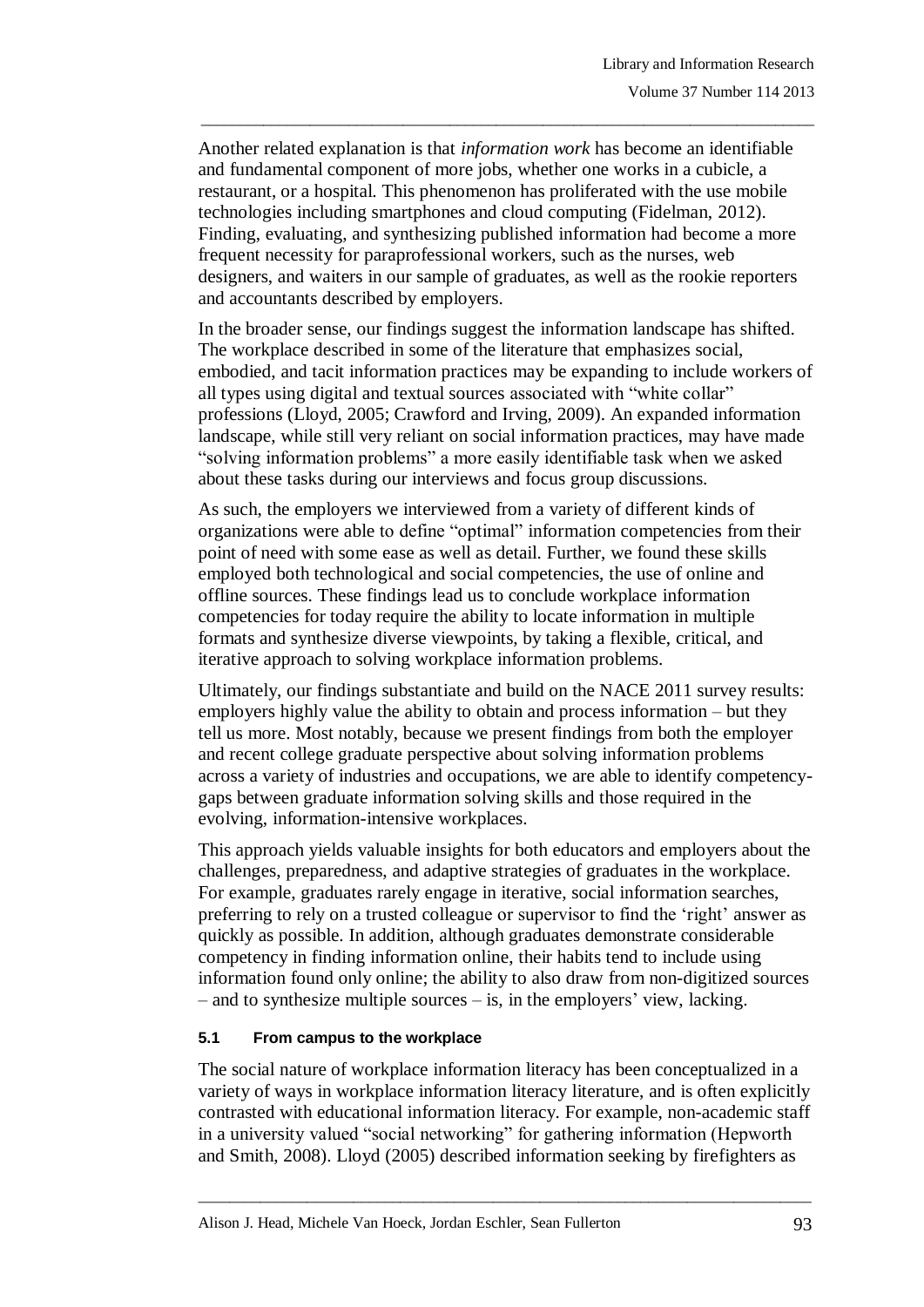Another related explanation is that *information work* has become an identifiable and fundamental component of more jobs, whether one works in a cubicle, a restaurant, or a hospital. This phenomenon has proliferated with the use mobile technologies including smartphones and cloud computing (Fidelman, 2012). Finding, evaluating, and synthesizing published information had become a more frequent necessity for paraprofessional workers, such as the nurses, web designers, and waiters in our sample of graduates, as well as the rookie reporters and accountants described by employers.

\_\_\_\_\_\_\_\_\_\_\_\_\_\_\_\_\_\_\_\_\_\_\_\_\_\_\_\_\_\_\_\_\_\_\_\_\_\_\_\_\_\_\_\_\_\_\_\_\_\_\_\_\_\_\_\_\_\_\_\_\_\_\_\_\_\_\_\_\_\_\_\_\_\_\_\_\_\_\_

In the broader sense, our findings suggest the information landscape has shifted. The workplace described in some of the literature that emphasizes social, embodied, and tacit information practices may be expanding to include workers of all types using digital and textual sources associated with "white collar" professions (Lloyd, 2005; Crawford and Irving, 2009). An expanded information landscape, while still very reliant on social information practices, may have made "solving information problems" a more easily identifiable task when we asked about these tasks during our interviews and focus group discussions.

As such, the employers we interviewed from a variety of different kinds of organizations were able to define "optimal" information competencies from their point of need with some ease as well as detail. Further, we found these skills employed both technological and social competencies, the use of online and offline sources. These findings lead us to conclude workplace information competencies for today require the ability to locate information in multiple formats and synthesize diverse viewpoints, by taking a flexible, critical, and iterative approach to solving workplace information problems.

Ultimately, our findings substantiate and build on the NACE 2011 survey results: employers highly value the ability to obtain and process information – but they tell us more. Most notably, because we present findings from both the employer and recent college graduate perspective about solving information problems across a variety of industries and occupations, we are able to identify competencygaps between graduate information solving skills and those required in the evolving, information-intensive workplaces.

This approach yields valuable insights for both educators and employers about the challenges, preparedness, and adaptive strategies of graduates in the workplace. For example, graduates rarely engage in iterative, social information searches, preferring to rely on a trusted colleague or supervisor to find the "right" answer as quickly as possible. In addition, although graduates demonstrate considerable competency in finding information online, their habits tend to include using information found only online; the ability to also draw from non-digitized sources  $-$  and to synthesize multiple sources  $-$  is, in the employers' view, lacking.

## **5.1 From campus to the workplace**

The social nature of workplace information literacy has been conceptualized in a variety of ways in workplace information literacy literature, and is often explicitly contrasted with educational information literacy. For example, non-academic staff in a university valued "social networking" for gathering information (Hepworth and Smith, 2008). Lloyd (2005) described information seeking by firefighters as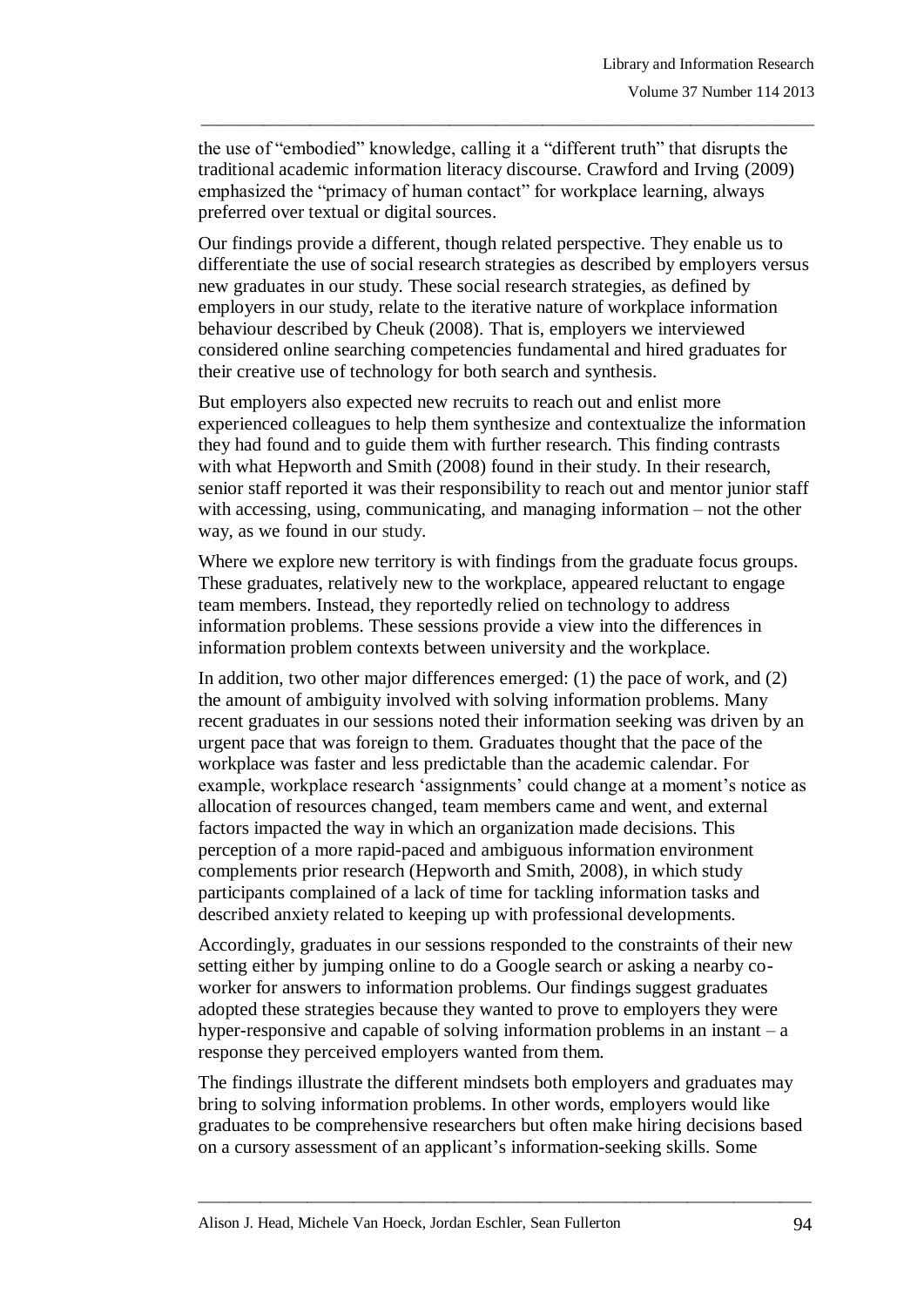the use of "embodied" knowledge, calling it a "different truth" that disrupts the traditional academic information literacy discourse. Crawford and Irving (2009) emphasized the "primacy of human contact" for workplace learning, always preferred over textual or digital sources.

\_\_\_\_\_\_\_\_\_\_\_\_\_\_\_\_\_\_\_\_\_\_\_\_\_\_\_\_\_\_\_\_\_\_\_\_\_\_\_\_\_\_\_\_\_\_\_\_\_\_\_\_\_\_\_\_\_\_\_\_\_\_\_\_\_\_\_\_\_\_\_\_\_\_\_\_\_\_\_

Our findings provide a different, though related perspective. They enable us to differentiate the use of social research strategies as described by employers versus new graduates in our study. These social research strategies, as defined by employers in our study, relate to the iterative nature of workplace information behaviour described by Cheuk (2008). That is, employers we interviewed considered online searching competencies fundamental and hired graduates for their creative use of technology for both search and synthesis.

But employers also expected new recruits to reach out and enlist more experienced colleagues to help them synthesize and contextualize the information they had found and to guide them with further research. This finding contrasts with what Hepworth and Smith (2008) found in their study. In their research, senior staff reported it was their responsibility to reach out and mentor junior staff with accessing, using, communicating, and managing information – not the other way, as we found in our study.

Where we explore new territory is with findings from the graduate focus groups. These graduates, relatively new to the workplace, appeared reluctant to engage team members. Instead, they reportedly relied on technology to address information problems. These sessions provide a view into the differences in information problem contexts between university and the workplace.

In addition, two other major differences emerged: (1) the pace of work, and (2) the amount of ambiguity involved with solving information problems. Many recent graduates in our sessions noted their information seeking was driven by an urgent pace that was foreign to them. Graduates thought that the pace of the workplace was faster and less predictable than the academic calendar. For example, workplace research 'assignments' could change at a moment's notice as allocation of resources changed, team members came and went, and external factors impacted the way in which an organization made decisions. This perception of a more rapid-paced and ambiguous information environment complements prior research (Hepworth and Smith, 2008), in which study participants complained of a lack of time for tackling information tasks and described anxiety related to keeping up with professional developments.

Accordingly, graduates in our sessions responded to the constraints of their new setting either by jumping online to do a Google search or asking a nearby coworker for answers to information problems. Our findings suggest graduates adopted these strategies because they wanted to prove to employers they were hyper-responsive and capable of solving information problems in an instant  $-a$ response they perceived employers wanted from them.

The findings illustrate the different mindsets both employers and graduates may bring to solving information problems. In other words, employers would like graduates to be comprehensive researchers but often make hiring decisions based on a cursory assessment of an applicant"s information-seeking skills. Some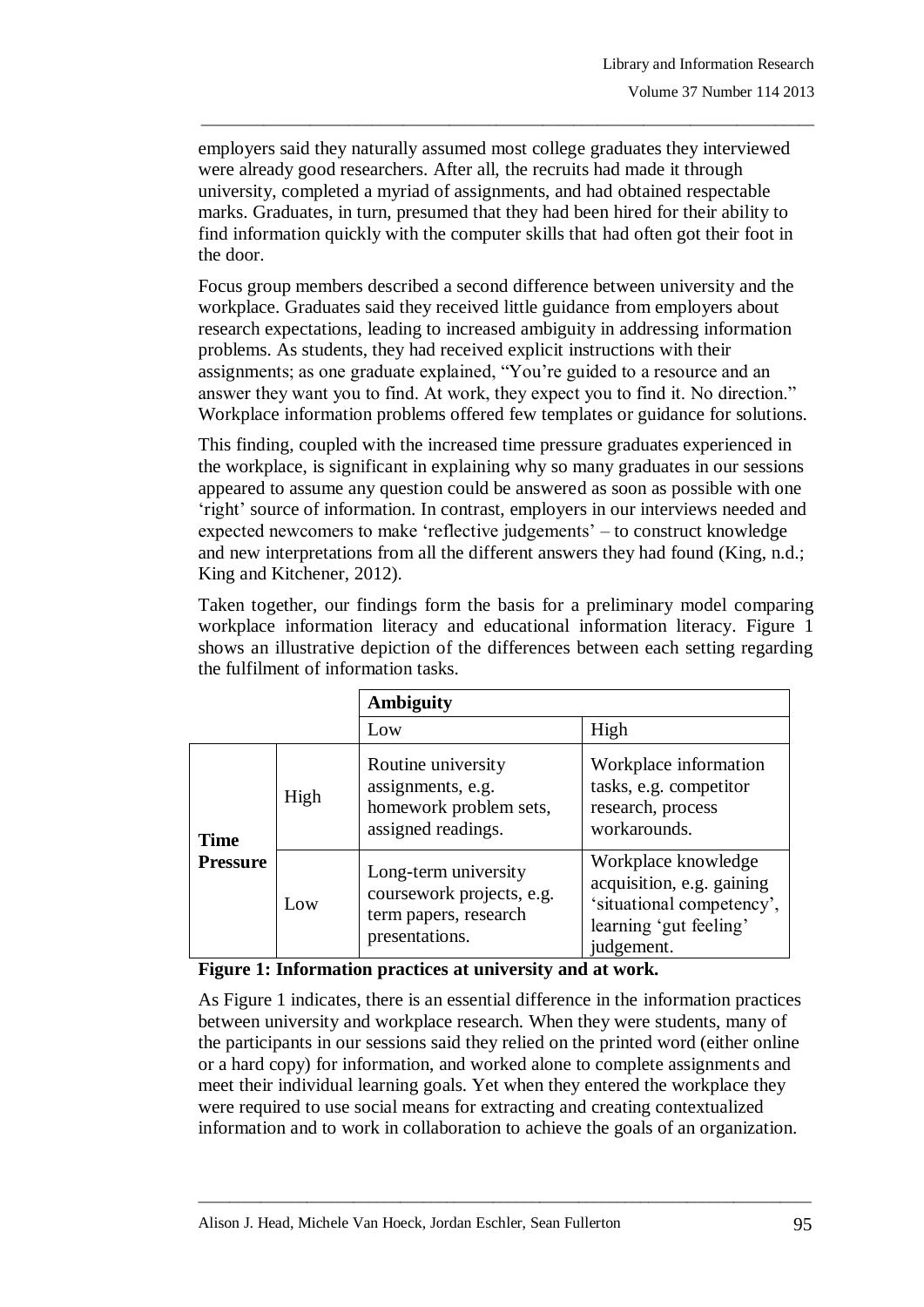employers said they naturally assumed most college graduates they interviewed were already good researchers. After all, the recruits had made it through university, completed a myriad of assignments, and had obtained respectable marks. Graduates, in turn, presumed that they had been hired for their ability to find information quickly with the computer skills that had often got their foot in the door.

\_\_\_\_\_\_\_\_\_\_\_\_\_\_\_\_\_\_\_\_\_\_\_\_\_\_\_\_\_\_\_\_\_\_\_\_\_\_\_\_\_\_\_\_\_\_\_\_\_\_\_\_\_\_\_\_\_\_\_\_\_\_\_\_\_\_\_\_\_\_\_\_\_\_\_\_\_\_\_

Focus group members described a second difference between university and the workplace. Graduates said they received little guidance from employers about research expectations, leading to increased ambiguity in addressing information problems. As students, they had received explicit instructions with their assignments; as one graduate explained, "You"re guided to a resource and an answer they want you to find. At work, they expect you to find it. No direction." Workplace information problems offered few templates or guidance for solutions.

This finding, coupled with the increased time pressure graduates experienced in the workplace, is significant in explaining why so many graduates in our sessions appeared to assume any question could be answered as soon as possible with one 'right' source of information. In contrast, employers in our interviews needed and expected newcomers to make "reflective judgements" – to construct knowledge and new interpretations from all the different answers they had found (King, n.d.; King and Kitchener, 2012).

Taken together, our findings form the basis for a preliminary model comparing workplace information literacy and educational information literacy. Figure 1 shows an illustrative depiction of the differences between each setting regarding the fulfilment of information tasks.

|                                |      | <b>Ambiguity</b>                                                                             |                                                                                                                       |
|--------------------------------|------|----------------------------------------------------------------------------------------------|-----------------------------------------------------------------------------------------------------------------------|
|                                |      | Low                                                                                          | High                                                                                                                  |
| <b>Time</b><br><b>Pressure</b> | High | Routine university<br>assignments, e.g.<br>homework problem sets,<br>assigned readings.      | Workplace information<br>tasks, e.g. competitor<br>research, process<br>workarounds.                                  |
|                                | Low  | Long-term university<br>coursework projects, e.g.<br>term papers, research<br>presentations. | Workplace knowledge<br>acquisition, e.g. gaining<br>'situational competency',<br>learning 'gut feeling'<br>judgement. |

**Figure 1: Information practices at university and at work.**

As Figure 1 indicates, there is an essential difference in the information practices between university and workplace research. When they were students, many of the participants in our sessions said they relied on the printed word (either online or a hard copy) for information, and worked alone to complete assignments and meet their individual learning goals. Yet when they entered the workplace they were required to use social means for extracting and creating contextualized information and to work in collaboration to achieve the goals of an organization.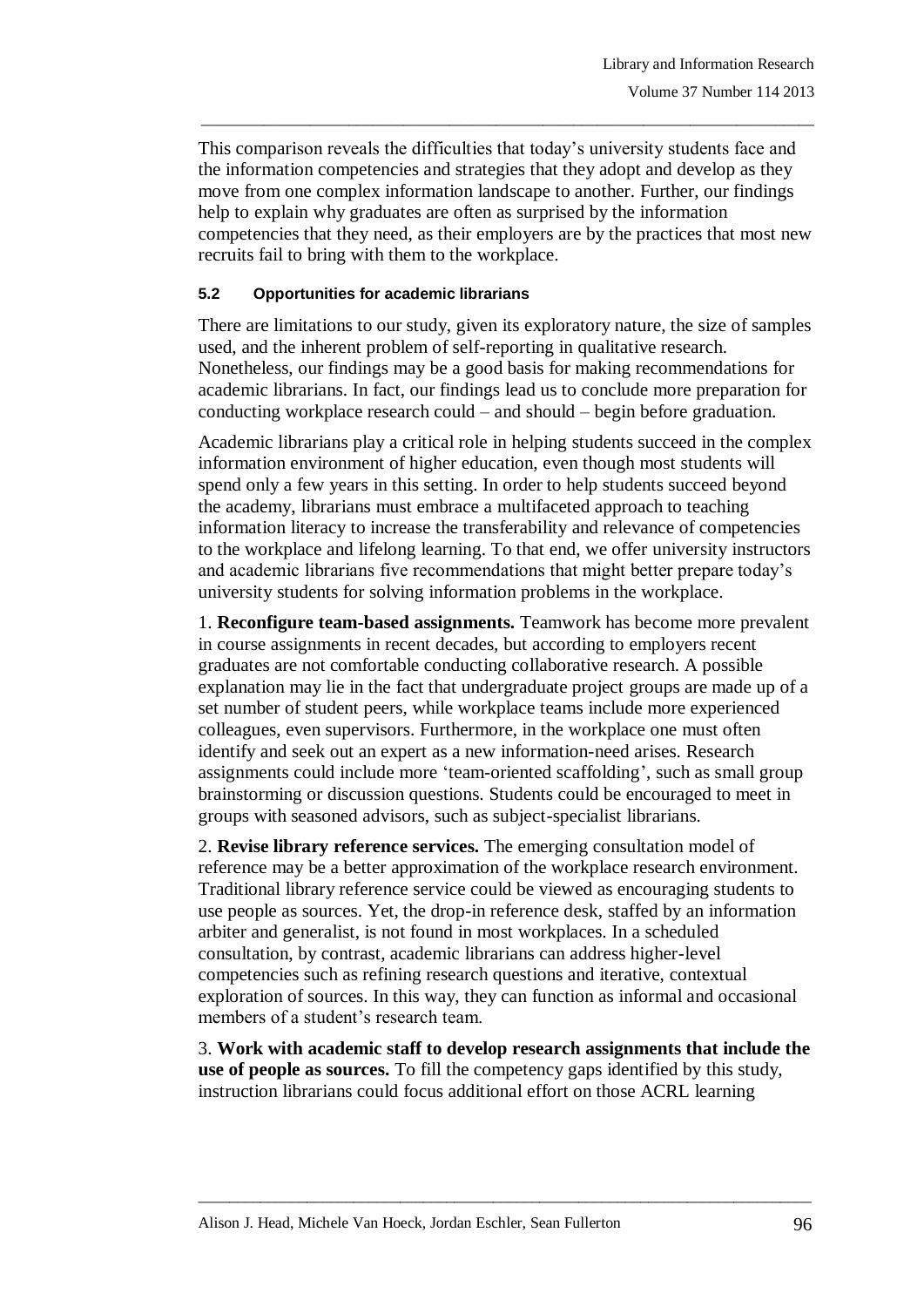This comparison reveals the difficulties that today"s university students face and the information competencies and strategies that they adopt and develop as they move from one complex information landscape to another. Further, our findings help to explain why graduates are often as surprised by the information competencies that they need, as their employers are by the practices that most new recruits fail to bring with them to the workplace.

\_\_\_\_\_\_\_\_\_\_\_\_\_\_\_\_\_\_\_\_\_\_\_\_\_\_\_\_\_\_\_\_\_\_\_\_\_\_\_\_\_\_\_\_\_\_\_\_\_\_\_\_\_\_\_\_\_\_\_\_\_\_\_\_\_\_\_\_\_\_\_\_\_\_\_\_\_\_\_

#### **5.2 Opportunities for academic librarians**

There are limitations to our study, given its exploratory nature, the size of samples used, and the inherent problem of self-reporting in qualitative research. Nonetheless, our findings may be a good basis for making recommendations for academic librarians. In fact, our findings lead us to conclude more preparation for conducting workplace research could – and should – begin before graduation.

Academic librarians play a critical role in helping students succeed in the complex information environment of higher education, even though most students will spend only a few years in this setting. In order to help students succeed beyond the academy, librarians must embrace a multifaceted approach to teaching information literacy to increase the transferability and relevance of competencies to the workplace and lifelong learning. To that end, we offer university instructors and academic librarians five recommendations that might better prepare today"s university students for solving information problems in the workplace.

1. **Reconfigure team-based assignments.** Teamwork has become more prevalent in course assignments in recent decades, but according to employers recent graduates are not comfortable conducting collaborative research. A possible explanation may lie in the fact that undergraduate project groups are made up of a set number of student peers, while workplace teams include more experienced colleagues, even supervisors. Furthermore, in the workplace one must often identify and seek out an expert as a new information-need arises. Research assignments could include more "team-oriented scaffolding", such as small group brainstorming or discussion questions. Students could be encouraged to meet in groups with seasoned advisors, such as subject-specialist librarians.

2. **Revise library reference services.** The emerging consultation model of reference may be a better approximation of the workplace research environment. Traditional library reference service could be viewed as encouraging students to use people as sources. Yet, the drop-in reference desk, staffed by an information arbiter and generalist, is not found in most workplaces. In a scheduled consultation, by contrast, academic librarians can address higher-level competencies such as refining research questions and iterative, contextual exploration of sources. In this way, they can function as informal and occasional members of a student's research team.

3. **Work with academic staff to develop research assignments that include the use of people as sources.** To fill the competency gaps identified by this study, instruction librarians could focus additional effort on those ACRL learning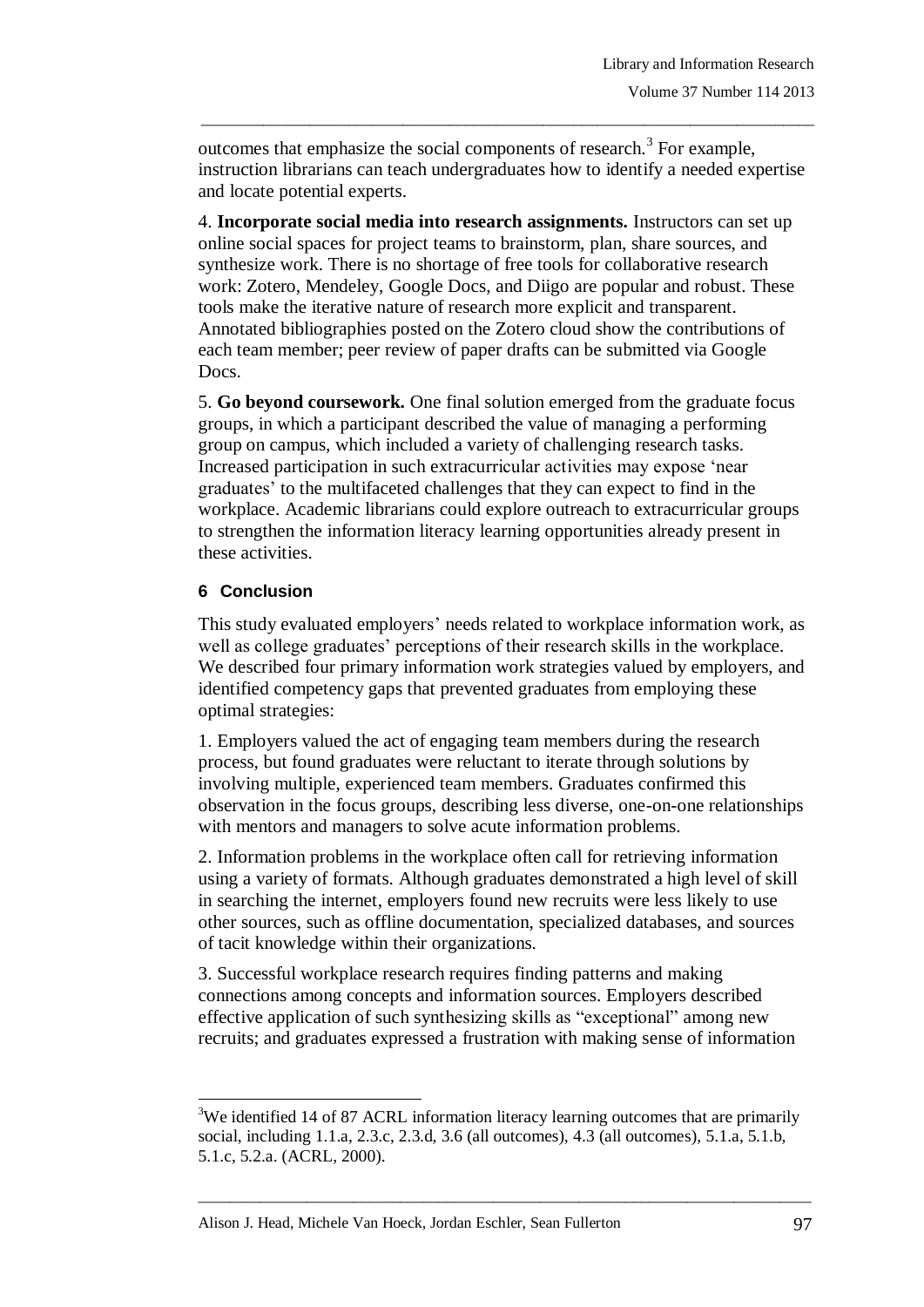outcomes that emphasize the social components of research.<sup>3</sup> For example, instruction librarians can teach undergraduates how to identify a needed expertise and locate potential experts.

\_\_\_\_\_\_\_\_\_\_\_\_\_\_\_\_\_\_\_\_\_\_\_\_\_\_\_\_\_\_\_\_\_\_\_\_\_\_\_\_\_\_\_\_\_\_\_\_\_\_\_\_\_\_\_\_\_\_\_\_\_\_\_\_\_\_\_\_\_\_\_\_\_\_\_\_\_\_\_

4. **Incorporate social media into research assignments.** Instructors can set up online social spaces for project teams to brainstorm, plan, share sources, and synthesize work. There is no shortage of free tools for collaborative research work: Zotero, Mendeley, Google Docs, and Diigo are popular and robust. These tools make the iterative nature of research more explicit and transparent. Annotated bibliographies posted on the Zotero cloud show the contributions of each team member; peer review of paper drafts can be submitted via Google Docs.

5. **Go beyond coursework.** One final solution emerged from the graduate focus groups, in which a participant described the value of managing a performing group on campus, which included a variety of challenging research tasks. Increased participation in such extracurricular activities may expose "near graduates" to the multifaceted challenges that they can expect to find in the workplace. Academic librarians could explore outreach to extracurricular groups to strengthen the information literacy learning opportunities already present in these activities.

## **6 Conclusion**

This study evaluated employers' needs related to workplace information work, as well as college graduates' perceptions of their research skills in the workplace. We described four primary information work strategies valued by employers, and identified competency gaps that prevented graduates from employing these optimal strategies:

1. Employers valued the act of engaging team members during the research process, but found graduates were reluctant to iterate through solutions by involving multiple, experienced team members. Graduates confirmed this observation in the focus groups, describing less diverse, one-on-one relationships with mentors and managers to solve acute information problems.

2. Information problems in the workplace often call for retrieving information using a variety of formats. Although graduates demonstrated a high level of skill in searching the internet, employers found new recruits were less likely to use other sources, such as offline documentation, specialized databases, and sources of tacit knowledge within their organizations.

3. Successful workplace research requires finding patterns and making connections among concepts and information sources. Employers described effective application of such synthesizing skills as "exceptional" among new recruits; and graduates expressed a frustration with making sense of information

l <sup>3</sup>We identified 14 of 87 ACRL information literacy learning outcomes that are primarily social, including 1.1.a, 2.3.c, 2.3.d, 3.6 (all outcomes), 4.3 (all outcomes), 5.1.a, 5.1.b, 5.1.c, 5.2.a. (ACRL, 2000).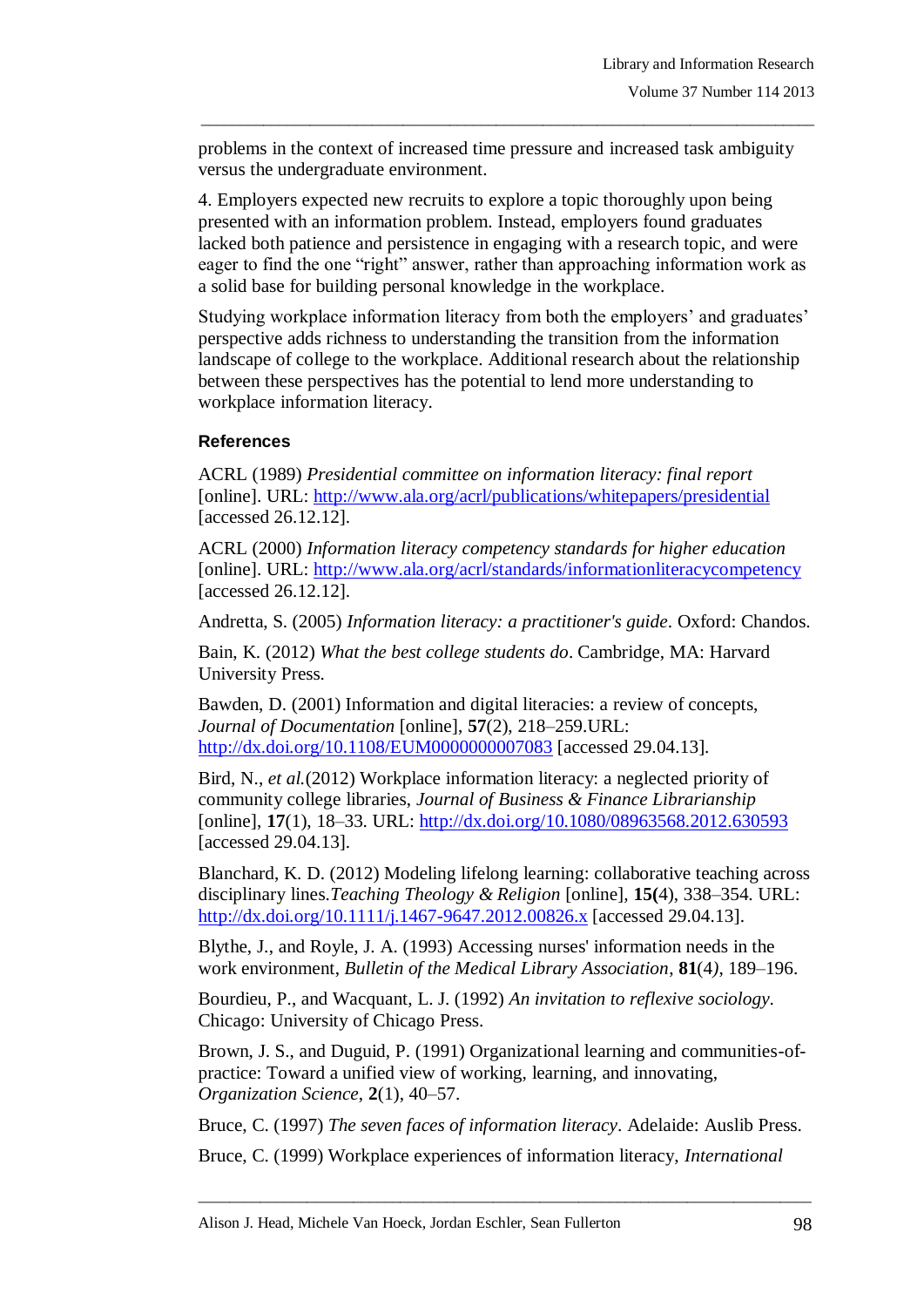problems in the context of increased time pressure and increased task ambiguity versus the undergraduate environment.

\_\_\_\_\_\_\_\_\_\_\_\_\_\_\_\_\_\_\_\_\_\_\_\_\_\_\_\_\_\_\_\_\_\_\_\_\_\_\_\_\_\_\_\_\_\_\_\_\_\_\_\_\_\_\_\_\_\_\_\_\_\_\_\_\_\_\_\_\_\_\_\_\_\_\_\_\_\_\_

4. Employers expected new recruits to explore a topic thoroughly upon being presented with an information problem. Instead, employers found graduates lacked both patience and persistence in engaging with a research topic, and were eager to find the one "right" answer, rather than approaching information work as a solid base for building personal knowledge in the workplace.

Studying workplace information literacy from both the employers' and graduates' perspective adds richness to understanding the transition from the information landscape of college to the workplace. Additional research about the relationship between these perspectives has the potential to lend more understanding to workplace information literacy.

#### **References**

ACRL (1989) *Presidential committee on information literacy: final report* [online]. URL: <http://www.ala.org/acrl/publications/whitepapers/presidential> [accessed 26.12.12].

ACRL (2000) *Information literacy competency standards for higher education* [online]. URL: <http://www.ala.org/acrl/standards/informationliteracycompetency> [accessed 26.12.12].

Andretta, S. (2005) *Information literacy: a practitioner's guide*. Oxford: Chandos.

Bain, K. (2012) *What the best college students do*. Cambridge, MA: Harvard University Press.

Bawden, D. (2001) Information and digital literacies: a review of concepts, *Journal of Documentation* [online], **57**(2), 218–259.URL: <http://dx.doi.org/10.1108/EUM0000000007083> [accessed 29.04.13].

Bird, N., *et al.*(2012) Workplace information literacy: a neglected priority of community college libraries, *Journal of Business & Finance Librarianship* [online], **17**(1), 18–33. URL:<http://dx.doi.org/10.1080/08963568.2012.630593> [accessed 29.04.13].

Blanchard, K. D. (2012) Modeling lifelong learning: collaborative teaching across disciplinary lines.*Teaching Theology & Religion* [online]*,* **15(**4), 338–354. URL: <http://dx.doi.org/10.1111/j.1467-9647.2012.00826.x> [accessed 29.04.13].

Blythe, J., and Royle, J. A. (1993) Accessing nurses' information needs in the work environment, *Bulletin of the Medical Library Association*, **81**(4*)*, 189–196.

Bourdieu, P., and Wacquant, L. J. (1992) *An invitation to reflexive sociology*. Chicago: University of Chicago Press.

Brown, J. S., and Duguid, P. (1991) Organizational learning and communities-ofpractice: Toward a unified view of working, learning, and innovating, *Organization Science*, **2**(1), 40–57.

Bruce, C. (1997) *The seven faces of information literacy*. Adelaide: Auslib Press.

\_\_\_\_\_\_\_\_\_\_\_\_\_\_\_\_\_\_\_\_\_\_\_\_\_\_\_\_\_\_\_\_\_\_\_\_\_\_\_\_\_\_\_\_\_\_\_\_\_\_\_\_\_\_\_\_\_\_\_\_\_\_\_\_\_\_\_\_\_\_\_\_\_\_\_\_\_\_\_

Bruce, C. (1999) Workplace experiences of information literacy, *International*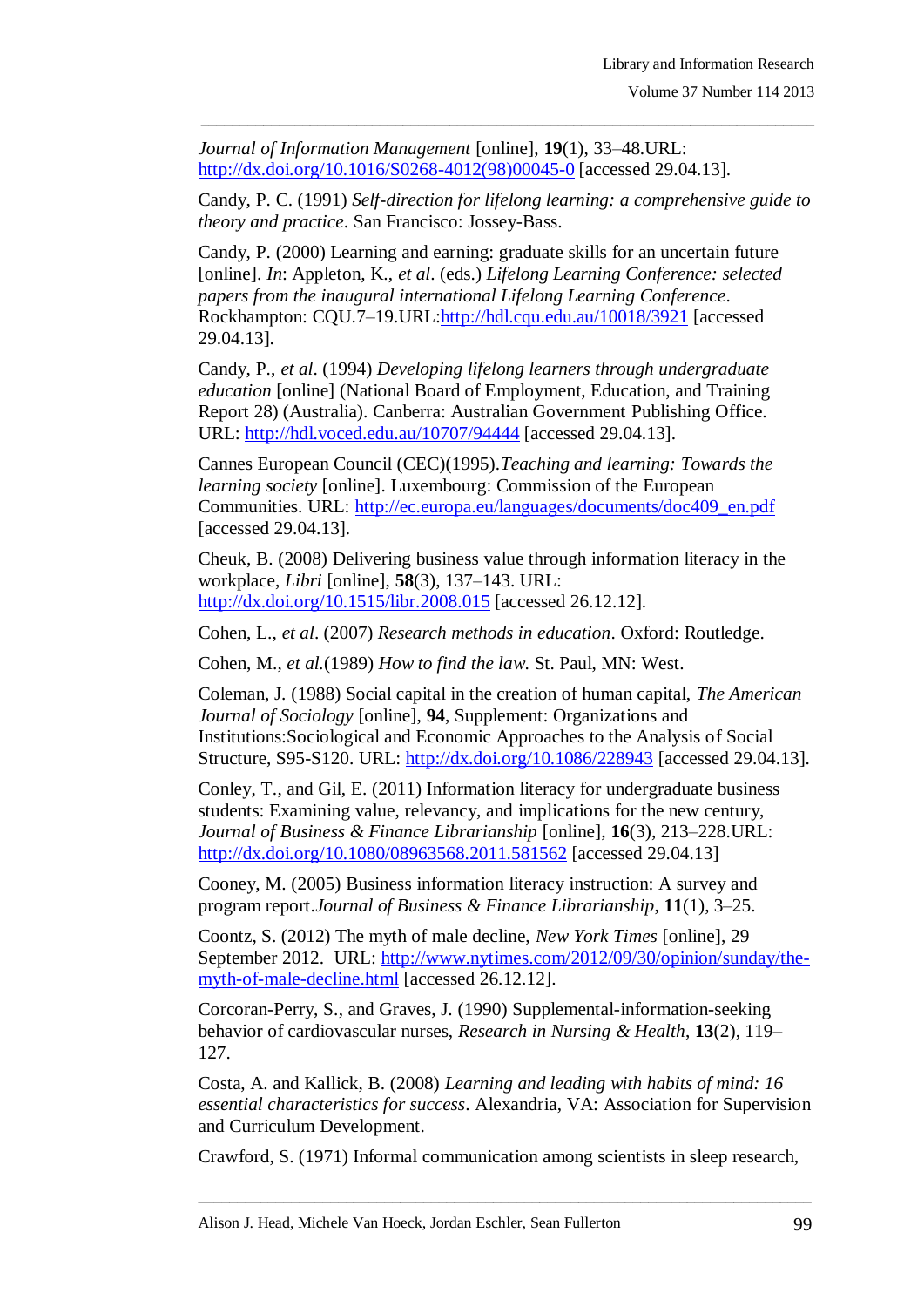*Journal of Information Management* [online], **19**(1), 33–48.URL: [http://dx.doi.org/10.1016/S0268-4012\(98\)00045-0](http://dx.doi.org/10.1016/S0268-4012(98)00045-0) [accessed 29.04.13].

Candy, P. C. (1991) *Self-direction for lifelong learning: a comprehensive guide to theory and practice*. San Francisco: Jossey-Bass.

\_\_\_\_\_\_\_\_\_\_\_\_\_\_\_\_\_\_\_\_\_\_\_\_\_\_\_\_\_\_\_\_\_\_\_\_\_\_\_\_\_\_\_\_\_\_\_\_\_\_\_\_\_\_\_\_\_\_\_\_\_\_\_\_\_\_\_\_\_\_\_\_\_\_\_\_\_\_\_

Candy, P. (2000) Learning and earning: graduate skills for an uncertain future [online]. *In*: Appleton, K., *et al*. (eds.) *Lifelong Learning Conference: selected papers from the inaugural international Lifelong Learning Conference*. Rockhampton: CQU.7–19.URL[:http://hdl.cqu.edu.au/10018/3921](http://hdl.cqu.edu.au/10018/3921) [accessed 29.04.13].

Candy, P., *et al*. (1994) *Developing lifelong learners through undergraduate education* [online] (National Board of Employment, Education, and Training Report 28) (Australia). Canberra: Australian Government Publishing Office. URL:<http://hdl.voced.edu.au/10707/94444> [accessed 29.04.13].

Cannes European Council (CEC)(1995).*Teaching and learning: Towards the learning society* [online]. Luxembourg: Commission of the European Communities. URL: [http://ec.europa.eu/languages/documents/doc409\\_en.pdf](http://ec.europa.eu/languages/documents/doc409_en.pdf) [accessed 29.04.13].

Cheuk, B. (2008) Delivering business value through information literacy in the workplace, *Libri* [online], **58**(3), 137–143. URL: <http://dx.doi.org/10.1515/libr.2008.015> [accessed 26.12.12].

Cohen, L., *et al*. (2007) *Research methods in education*. Oxford: Routledge.

Cohen, M., *et al.*(1989) *How to find the law*. St. Paul, MN: West.

Coleman, J. (1988) Social capital in the creation of human capital, *The American Journal of Sociology* [online], **94**, Supplement: Organizations and Institutions:Sociological and Economic Approaches to the Analysis of Social Structure, S95-S120. URL:<http://dx.doi.org/10.1086/228943> [accessed 29.04.13].

Conley, T., and Gil, E. (2011) Information literacy for undergraduate business students: Examining value, relevancy, and implications for the new century, *Journal of Business & Finance Librarianship* [online], **16**(3), 213–228.URL: <http://dx.doi.org/10.1080/08963568.2011.581562> [accessed 29.04.13]

Cooney, M. (2005) Business information literacy instruction: A survey and program report.*Journal of Business & Finance Librarianship*, **11**(1), 3–25.

Coontz, S. (2012) The myth of male decline, *New York Times* [online], 29 September 2012. URL: [http://www.nytimes.com/2012/09/30/opinion/sunday/the](http://www.nytimes.com/2012/09/30/opinion/sunday/the-myth-of-male-decline.html)[myth-of-male-decline.html](http://www.nytimes.com/2012/09/30/opinion/sunday/the-myth-of-male-decline.html) [accessed 26.12.12].

Corcoran-Perry, S., and Graves, J. (1990) Supplemental-information-seeking behavior of cardiovascular nurses, *Research in Nursing & Health*, **13**(2), 119– 127.

Costa, A. and Kallick, B. (2008) *Learning and leading with habits of mind: 16 essential characteristics for success*. Alexandria, VA: Association for Supervision and Curriculum Development.

Crawford, S. (1971) Informal communication among scientists in sleep research,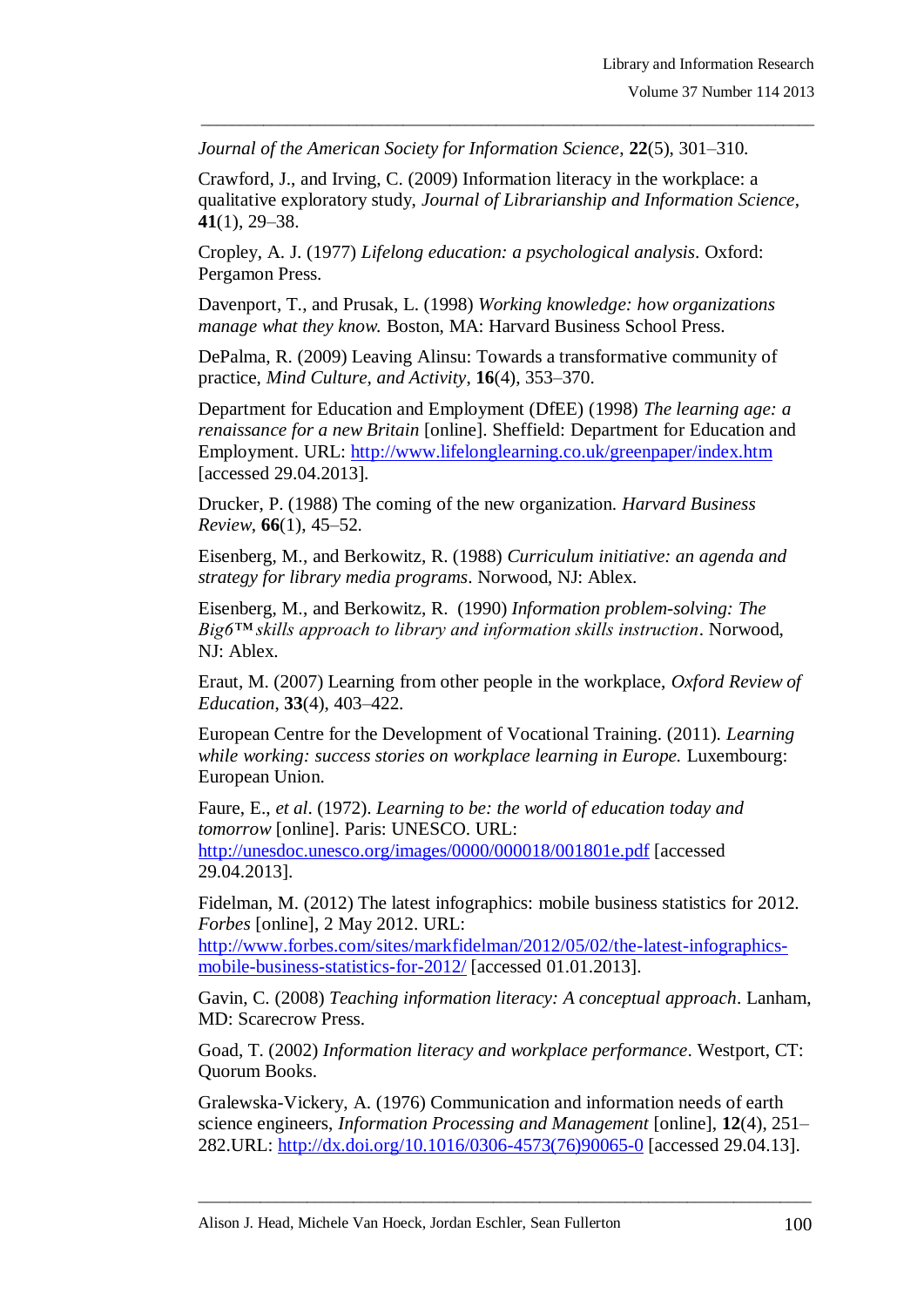*Journal of the American Society for Information Science*, **22**(5), 301–310.

Crawford, J., and Irving, C. (2009) Information literacy in the workplace: a qualitative exploratory study, *Journal of Librarianship and Information Science*, **41**(1), 29–38.

\_\_\_\_\_\_\_\_\_\_\_\_\_\_\_\_\_\_\_\_\_\_\_\_\_\_\_\_\_\_\_\_\_\_\_\_\_\_\_\_\_\_\_\_\_\_\_\_\_\_\_\_\_\_\_\_\_\_\_\_\_\_\_\_\_\_\_\_\_\_\_\_\_\_\_\_\_\_\_

Cropley, A. J. (1977) *Lifelong education: a psychological analysis*. Oxford: Pergamon Press.

Davenport, T., and Prusak, L. (1998) *Working knowledge: how organizations manage what they know.* Boston, MA: Harvard Business School Press.

DePalma, R. (2009) Leaving Alinsu: Towards a transformative community of practice, *Mind Culture, and Activity*, **16**(4), 353–370.

Department for Education and Employment (DfEE) (1998) *The learning age: a renaissance for a new Britain* [online]. Sheffield: Department for Education and Employment. URL:<http://www.lifelonglearning.co.uk/greenpaper/index.htm> [accessed 29.04.2013].

Drucker, P. (1988) The coming of the new organization. *Harvard Business Review*, **66**(1), 45–52.

Eisenberg, M., and Berkowitz, R. (1988) *Curriculum initiative: an agenda and strategy for library media programs*. Norwood, NJ: Ablex.

Eisenberg, M., and Berkowitz, R. (1990) *Information problem-solving: The Big6™ skills approach to library and information skills instruction*. Norwood, NJ: Ablex.

Eraut, M. (2007) Learning from other people in the workplace, *Oxford Review of Education*, **33**(4), 403–422.

European Centre for the Development of Vocational Training. (2011). *Learning while working: success stories on workplace learning in Europe.* Luxembourg: European Union.

Faure, E., *et al*. (1972). *Learning to be: the world of education today and tomorrow* [online]. Paris: UNESCO. URL: <http://unesdoc.unesco.org/images/0000/000018/001801e.pdf> [accessed 29.04.2013].

Fidelman, M. (2012) The latest infographics: mobile business statistics for 2012. *Forbes* [online], 2 May 2012. URL:

[http://www.forbes.com/sites/markfidelman/2012/05/02/the-latest-infographics](http://www.forbes.com/sites/markfidelman/2012/05/02/the-latest-infographics-mobile-business-statistics-for-2012/)[mobile-business-statistics-for-2012/](http://www.forbes.com/sites/markfidelman/2012/05/02/the-latest-infographics-mobile-business-statistics-for-2012/) [accessed 01.01.2013].

Gavin, C. (2008) *Teaching information literacy: A conceptual approach*. Lanham, MD: Scarecrow Press.

Goad, T. (2002) *Information literacy and workplace performance*. Westport, CT: Quorum Books.

Gralewska-Vickery, A. (1976) Communication and information needs of earth science engineers, *Information Processing and Management* [online], **12**(4), 251– 282.URL: [http://dx.doi.org/10.1016/0306-4573\(76\)90065-0](http://dx.doi.org/10.1016/0306-4573(76)90065-0) [accessed 29.04.13].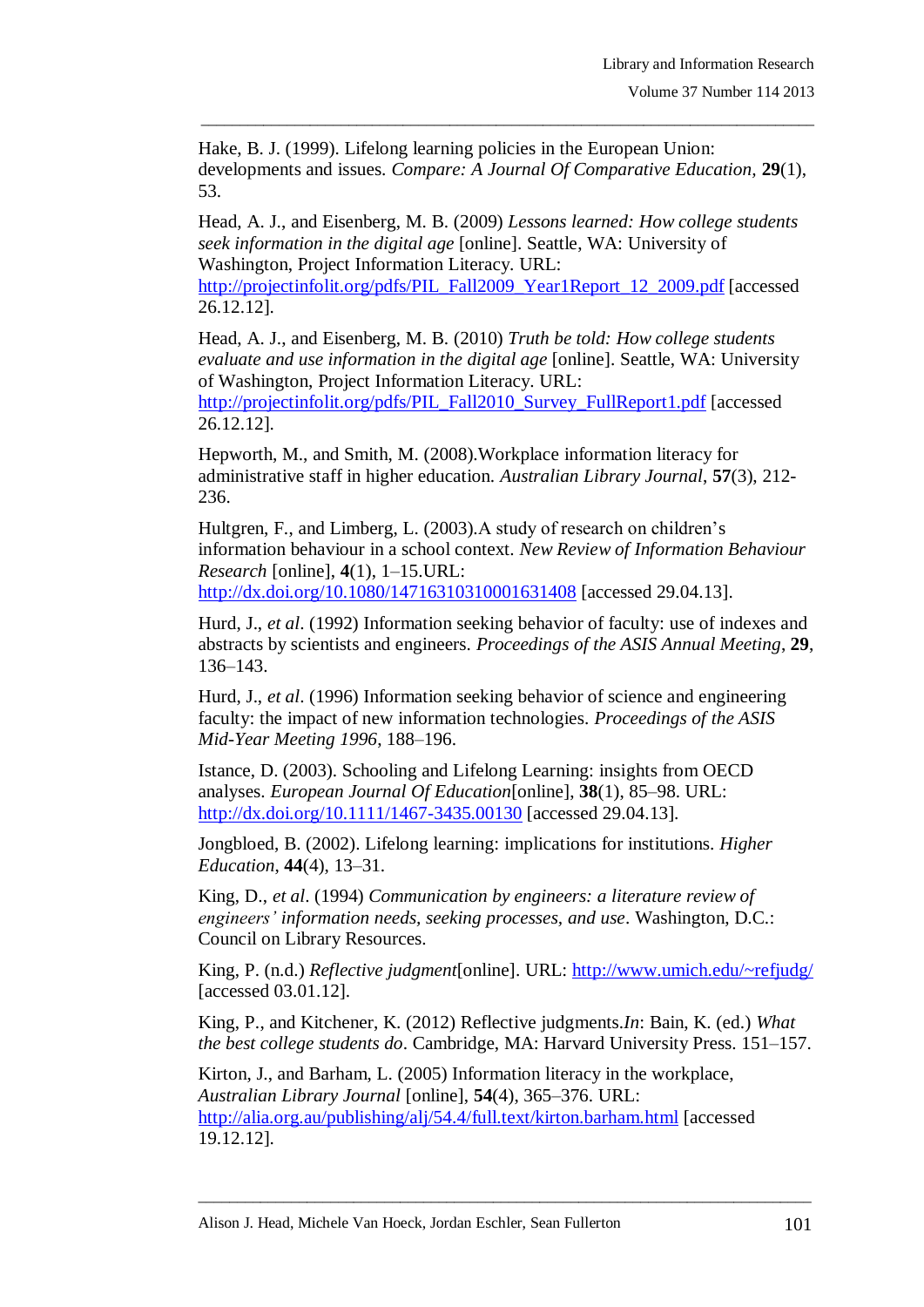Hake, B. J. (1999). Lifelong learning policies in the European Union: developments and issues. *Compare: A Journal Of Comparative Education,* **29**(1), 53.

\_\_\_\_\_\_\_\_\_\_\_\_\_\_\_\_\_\_\_\_\_\_\_\_\_\_\_\_\_\_\_\_\_\_\_\_\_\_\_\_\_\_\_\_\_\_\_\_\_\_\_\_\_\_\_\_\_\_\_\_\_\_\_\_\_\_\_\_\_\_\_\_\_\_\_\_\_\_\_

Head, A. J., and Eisenberg, M. B. (2009) *Lessons learned: How college students seek information in the digital age* [online]. Seattle, WA: University of Washington, Project Information Literacy. URL[:](http://projectinfolit.org/pdfs/PIL_Fall2009_Year1Report_12_2009.pdf)

[http://projectinfolit.org/pdfs/PIL\\_Fall2009\\_Year1Report\\_12\\_2009.pdf](http://projectinfolit.org/pdfs/PIL_Fall2009_Year1Report_12_2009.pdf) [accessed] 26.12.12].

Head, A. J., and Eisenberg, M. B. (2010) *Truth be told: How college students evaluate and use information in the digital age* [online]. Seattle, WA: University of Washington, Project Information Literacy. URL[:](http://projectinfolit.org/pdfs/PIL_Fall2010_Survey_FullReport1.pdf)

[http://projectinfolit.org/pdfs/PIL\\_Fall2010\\_Survey\\_FullReport1.pdf](http://projectinfolit.org/pdfs/PIL_Fall2010_Survey_FullReport1.pdf) [accessed 26.12.12].

Hepworth, M., and Smith, M. (2008).Workplace information literacy for administrative staff in higher education. *Australian Library Journal*, **57**(3), 212- 236.

Hultgren, F., and Limberg, L. (2003). A study of research on children's information behaviour in a school context. *New Review of Information Behaviour Research* [online], **4**(1), 1–15.URL: <http://dx.doi.org/10.1080/14716310310001631408> [accessed 29.04.13].

Hurd, J., *et al*. (1992) Information seeking behavior of faculty: use of indexes and abstracts by scientists and engineers. *Proceedings of the ASIS Annual Meeting*, **29**, 136–143.

Hurd, J., *et al*. (1996) Information seeking behavior of science and engineering faculty: the impact of new information technologies. *Proceedings of the ASIS Mid-Year Meeting 1996*, 188–196.

Istance, D. (2003). Schooling and Lifelong Learning: insights from OECD analyses. *European Journal Of Education*[online], **38**(1), 85–98. URL: <http://dx.doi.org/10.1111/1467-3435.00130> [accessed 29.04.13].

Jongbloed, B. (2002). Lifelong learning: implications for institutions. *Higher Education*, **44**(4), 13–31.

King, D., *et al*. (1994) *Communication by engineers: a literature review of engineers' information needs, seeking processes, and use*. Washington, D.C.: Council on Library Resources.

King, P. (n.d.) *Reflective judgment*[online]. URL:<http://www.umich.edu/~refjudg/> [accessed 03.01.12].

King, P., and Kitchener, K. (2012) Reflective judgments.*In*: Bain, K. (ed.) *What the best college students do*. Cambridge, MA: Harvard University Press. 151–157.

\_\_\_\_\_\_\_\_\_\_\_\_\_\_\_\_\_\_\_\_\_\_\_\_\_\_\_\_\_\_\_\_\_\_\_\_\_\_\_\_\_\_\_\_\_\_\_\_\_\_\_\_\_\_\_\_\_\_\_\_\_\_\_\_\_\_\_\_\_\_\_\_\_\_\_\_\_\_\_

Kirton, J., and Barham, L. (2005) Information literacy in the workplace, *Australian Library Journal* [online], **54**(4), 365–376. URL[:](http://alia.org.au/publishing/alj/54.4/full.text/kirton.barham.html) <http://alia.org.au/publishing/alj/54.4/full.text/kirton.barham.html> [accessed 19.12.12].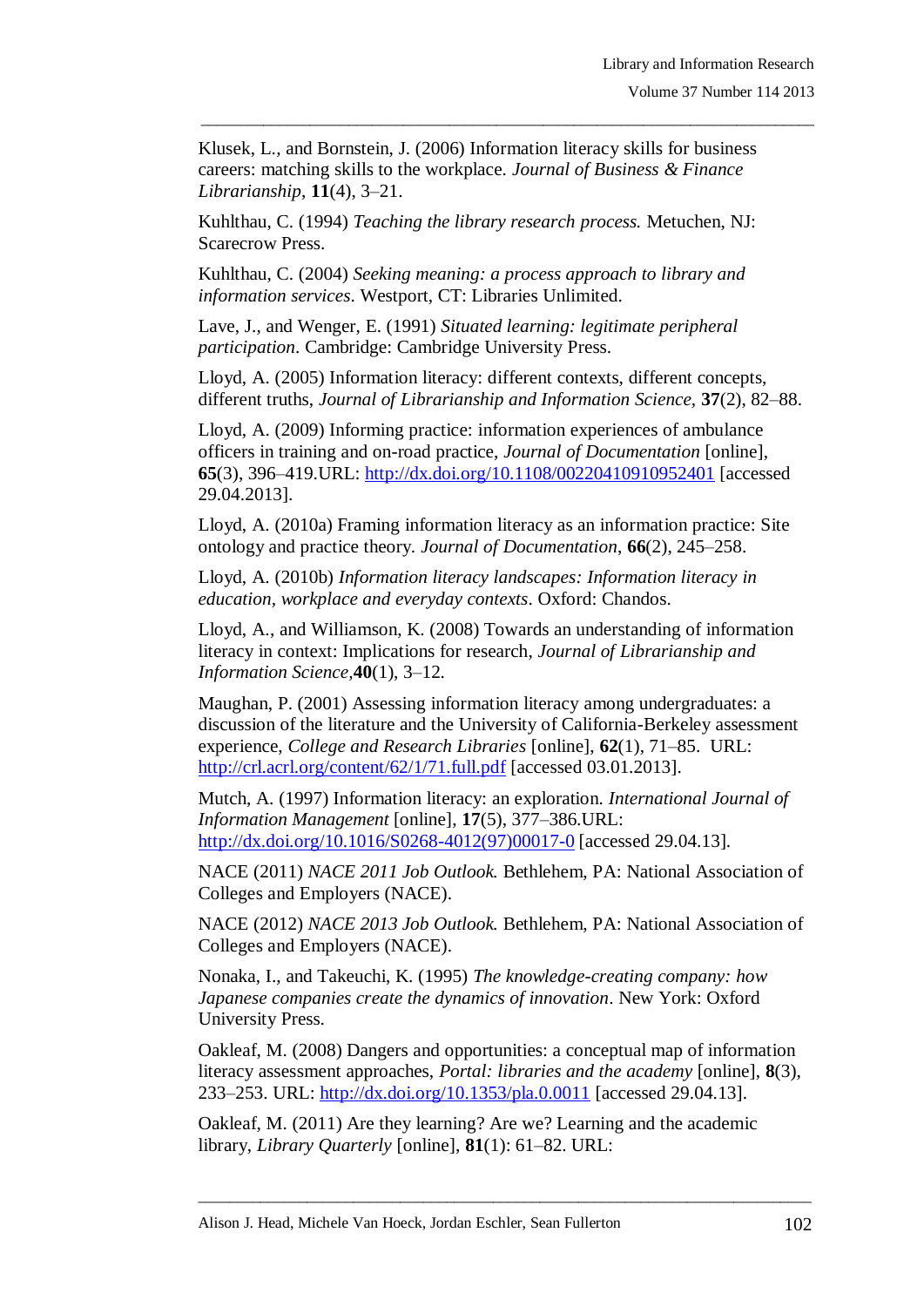Klusek, L., and Bornstein, J. (2006) Information literacy skills for business careers: matching skills to the workplace. *Journal of Business & Finance Librarianship*, **11**(4), 3–21.

\_\_\_\_\_\_\_\_\_\_\_\_\_\_\_\_\_\_\_\_\_\_\_\_\_\_\_\_\_\_\_\_\_\_\_\_\_\_\_\_\_\_\_\_\_\_\_\_\_\_\_\_\_\_\_\_\_\_\_\_\_\_\_\_\_\_\_\_\_\_\_\_\_\_\_\_\_\_\_

Kuhlthau, C. (1994) *Teaching the library research process.* Metuchen, NJ: Scarecrow Press.

Kuhlthau, C. (2004) *Seeking meaning: a process approach to library and information services*. Westport, CT: Libraries Unlimited.

Lave, J., and Wenger, E. (1991) *Situated learning: legitimate peripheral participation*. Cambridge: Cambridge University Press.

Lloyd, A. (2005) Information literacy: different contexts, different concepts, different truths, *Journal of Librarianship and Information Science,* **37**(2), 82–88.

Lloyd, A. (2009) Informing practice: information experiences of ambulance officers in training and on-road practice, *Journal of Documentation* [online], **65**(3), 396–419.URL:<http://dx.doi.org/10.1108/00220410910952401> [accessed 29.04.2013].

Lloyd, A. (2010a) Framing information literacy as an information practice: Site ontology and practice theory. *Journal of Documentation*, **66**(2), 245–258.

Lloyd, A. (2010b) *Information literacy landscapes: Information literacy in education, workplace and everyday contexts*. Oxford: Chandos.

Lloyd, A., and Williamson, K. (2008) Towards an understanding of information literacy in context: Implications for research, *Journal of Librarianship and Information Science,***40**(1), 3–12.

Maughan, P. (2001) Assessing information literacy among undergraduates: a discussion of the literature and the University of California-Berkeley assessment experience, *College and Research Libraries* [online], **62**(1), 71–85. URL: <http://crl.acrl.org/content/62/1/71.full.pdf> [accessed 03.01.2013].

Mutch, A. (1997) Information literacy: an exploration. *International Journal of Information Management* [online], **17**(5), 377–386.URL: [http://dx.doi.org/10.1016/S0268-4012\(97\)00017-0](http://dx.doi.org/10.1016/S0268-4012(97)00017-0) [accessed 29.04.13].

NACE (2011) *NACE 2011 Job Outlook.* Bethlehem, PA: National Association of Colleges and Employers (NACE).

NACE (2012) *NACE 2013 Job Outlook.* Bethlehem, PA: National Association of Colleges and Employers (NACE).

Nonaka, I., and Takeuchi, K. (1995) *The knowledge-creating company: how Japanese companies create the dynamics of innovation*. New York: Oxford University Press.

Oakleaf, M. (2008) Dangers and opportunities: a conceptual map of information literacy assessment approaches, *Portal: libraries and the academy* [online], **8**(3), 233–253. URL: <http://dx.doi.org/10.1353/pla.0.0011> [accessed 29.04.13].

\_\_\_\_\_\_\_\_\_\_\_\_\_\_\_\_\_\_\_\_\_\_\_\_\_\_\_\_\_\_\_\_\_\_\_\_\_\_\_\_\_\_\_\_\_\_\_\_\_\_\_\_\_\_\_\_\_\_\_\_\_\_\_\_\_\_\_\_\_\_\_\_\_\_\_\_\_\_\_

Oakleaf, M. (2011) Are they learning? Are we? Learning and the academic library, *Library Quarterly* [online], **81**(1): 61–82. URL[:](http://libraryassessment.org/bm~doc/2010_lac_plenaries.pdf)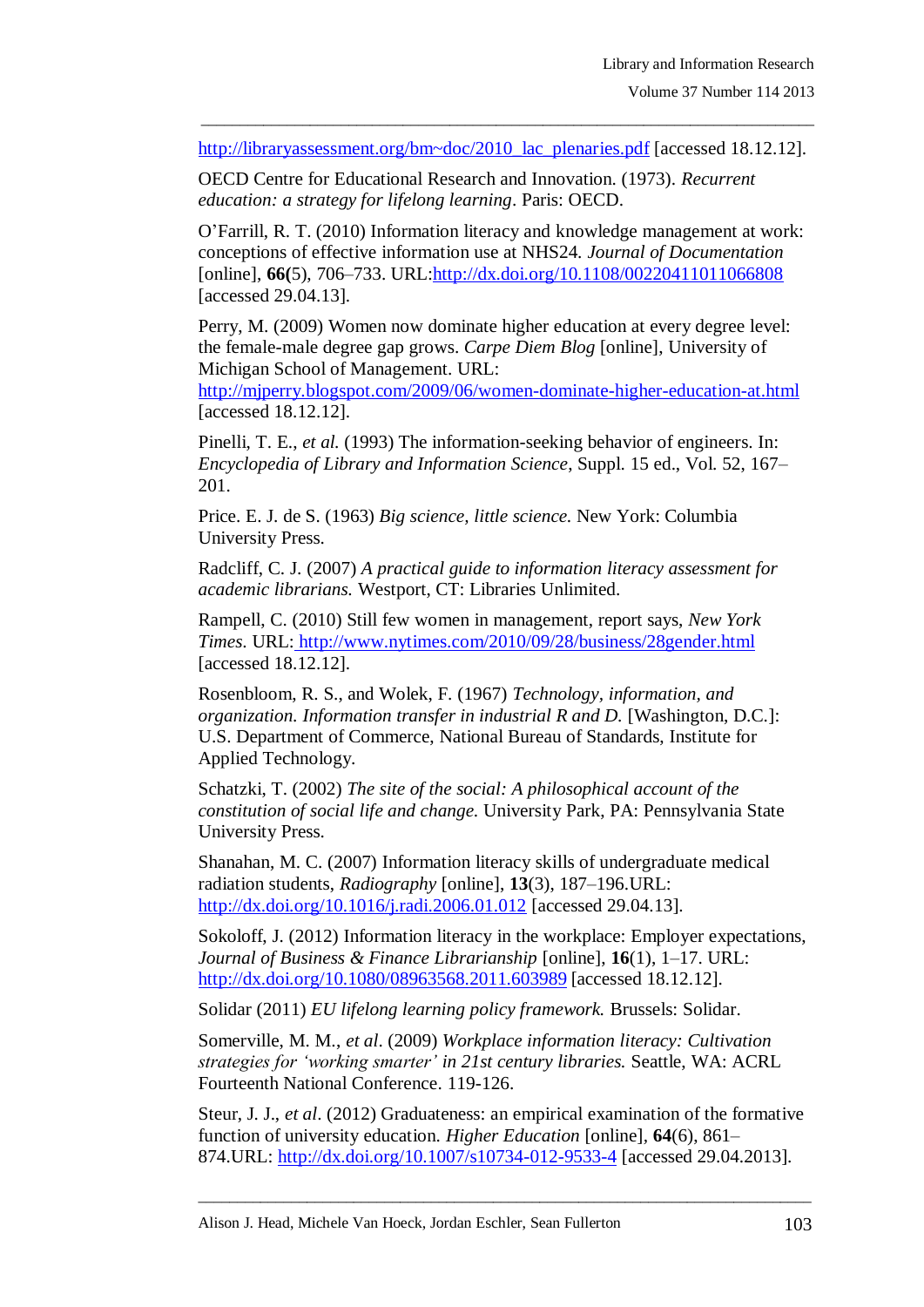\_\_\_\_\_\_\_\_\_\_\_\_\_\_\_\_\_\_\_\_\_\_\_\_\_\_\_\_\_\_\_\_\_\_\_\_\_\_\_\_\_\_\_\_\_\_\_\_\_\_\_\_\_\_\_\_\_\_\_\_\_\_\_\_\_\_\_\_\_\_\_\_\_\_\_\_\_\_\_ http://libraryassessment.org/bm~doc/2010\_lac\_plenaries.pdf [accessed 18.12.12].

OECD Centre for Educational Research and Innovation. (1973). *Recurrent education: a strategy for lifelong learning*. Paris: OECD.

O"Farrill, R. T. (2010) Information literacy and knowledge management at work: conceptions of effective information use at NHS24. *Journal of Documentation* [online], **66(**5), 706–733. URL[:http://dx.doi.org/10.1108/00220411011066808](http://dx.doi.org/10.1108/00220411011066808) [accessed 29.04.13].

Perry, M. (2009) Women now dominate higher education at every degree level: the female-male degree gap grows. *Carpe Diem Blog* [online], University of Michigan School of Management. URL[:](http://mjperry.blogspot.com/2009/06/women-dominate-higher-education-at.html)

<http://mjperry.blogspot.com/2009/06/women-dominate-higher-education-at.html> [accessed 18.12.12].

Pinelli, T. E., *et al.* (1993) The information-seeking behavior of engineers. In: *Encyclopedia of Library and Information Science*, Suppl. 15 ed., Vol. 52, 167– 201.

Price. E. J. de S. (1963) *Big science, little science.* New York: Columbia University Press.

Radcliff, C. J. (2007) *A practical guide to information literacy assessment for academic librarians.* Westport, CT: Libraries Unlimited.

Rampell, C. (2010) Still few women in management, report says, *New York Times*. URL: <http://www.nytimes.com/2010/09/28/business/28gender.html> [accessed 18.12.12].

Rosenbloom, R. S., and Wolek, F. (1967) *Technology, information, and organization. Information transfer in industrial R and D.* [Washington, D.C.]: U.S. Department of Commerce, National Bureau of Standards, Institute for Applied Technology.

Schatzki, T. (2002) *The site of the social: A philosophical account of the constitution of social life and change.* University Park, PA: Pennsylvania State University Press.

Shanahan, M. C. (2007) Information literacy skills of undergraduate medical radiation students, *Radiography* [online], **13**(3), 187–196.URL: <http://dx.doi.org/10.1016/j.radi.2006.01.012> [accessed 29.04.13].

Sokoloff, J. (2012) Information literacy in the workplace: Employer expectations, *Journal of Business & Finance Librarianship* [online], **16**(1), 1–17. URL: <http://dx.doi.org/10.1080/08963568.2011.603989> [accessed 18.12.12].

Solidar (2011) *EU lifelong learning policy framework.* Brussels: Solidar.

Somerville, M. M., *et al*. (2009) *Workplace information literacy: Cultivation strategies for ‗working smarter' in 21st century libraries.* Seattle, WA: ACRL Fourteenth National Conference. 119-126.

Steur, J. J., *et al*. (2012) Graduateness: an empirical examination of the formative function of university education. *Higher Education* [online]*,* **64**(6), 861– 874.URL:<http://dx.doi.org/10.1007/s10734-012-9533-4> [accessed 29.04.2013].